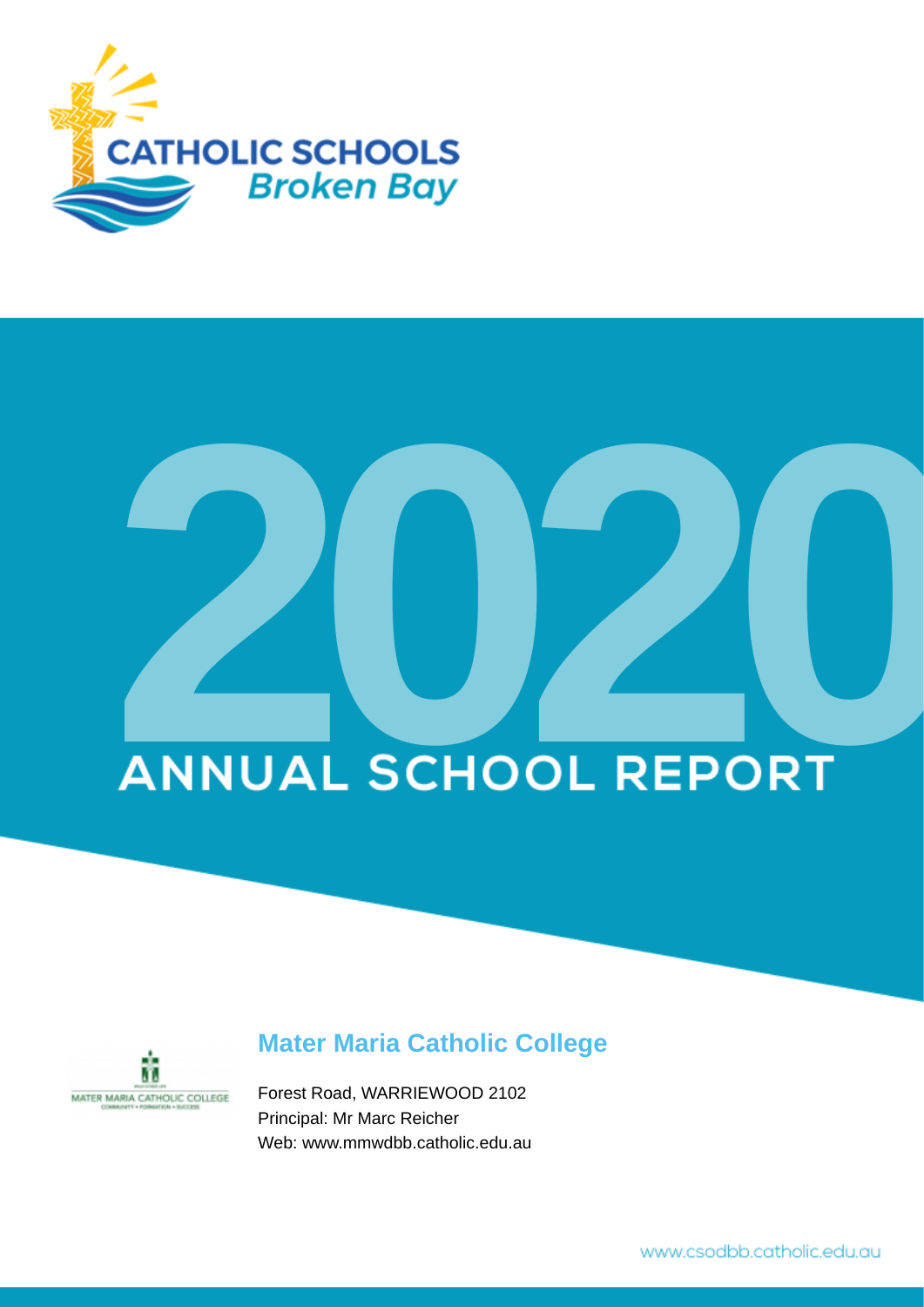

# **ANNUAL SCHOOL REPORT**



# **Mater Maria Catholic College**

Forest Road, WARRIEWOOD 2102 Principal: Mr Marc Reicher Web: www.mmwdbb.catholic.edu.au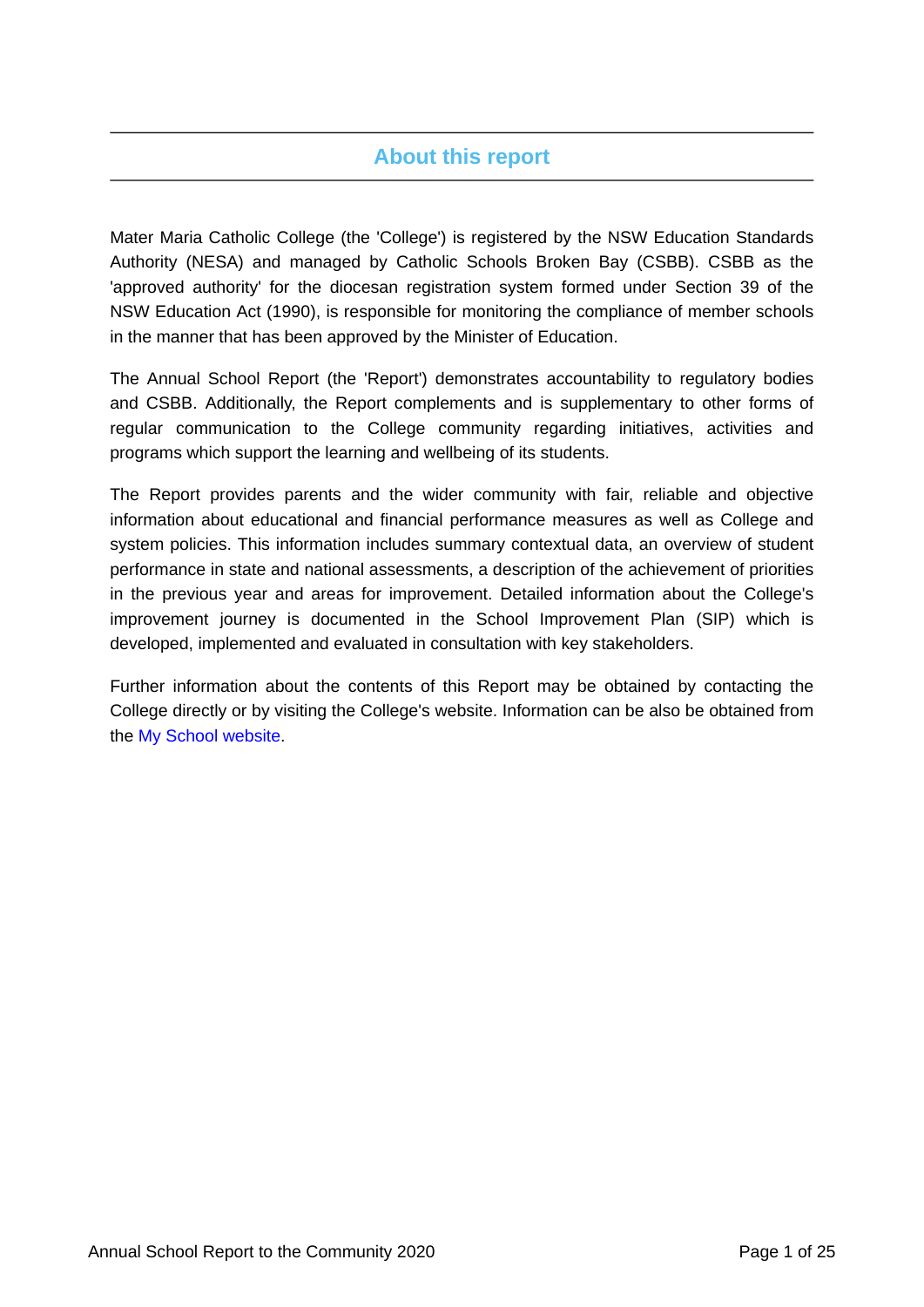# **About this report**

Mater Maria Catholic College (the 'College') is registered by the NSW Education Standards Authority (NESA) and managed by Catholic Schools Broken Bay (CSBB). CSBB as the 'approved authority' for the diocesan registration system formed under Section 39 of the NSW Education Act (1990), is responsible for monitoring the compliance of member schools in the manner that has been approved by the Minister of Education.

The Annual School Report (the 'Report') demonstrates accountability to regulatory bodies and CSBB. Additionally, the Report complements and is supplementary to other forms of regular communication to the College community regarding initiatives, activities and programs which support the learning and wellbeing of its students.

The Report provides parents and the wider community with fair, reliable and objective information about educational and financial performance measures as well as College and system policies. This information includes summary contextual data, an overview of student performance in state and national assessments, a description of the achievement of priorities in the previous year and areas for improvement. Detailed information about the College's improvement journey is documented in the School Improvement Plan (SIP) which is developed, implemented and evaluated in consultation with key stakeholders.

Further information about the contents of this Report may be obtained by contacting the College directly or by visiting the College's website. Information can be also be obtained from the [My School website.](https://www.myschool.edu.au/)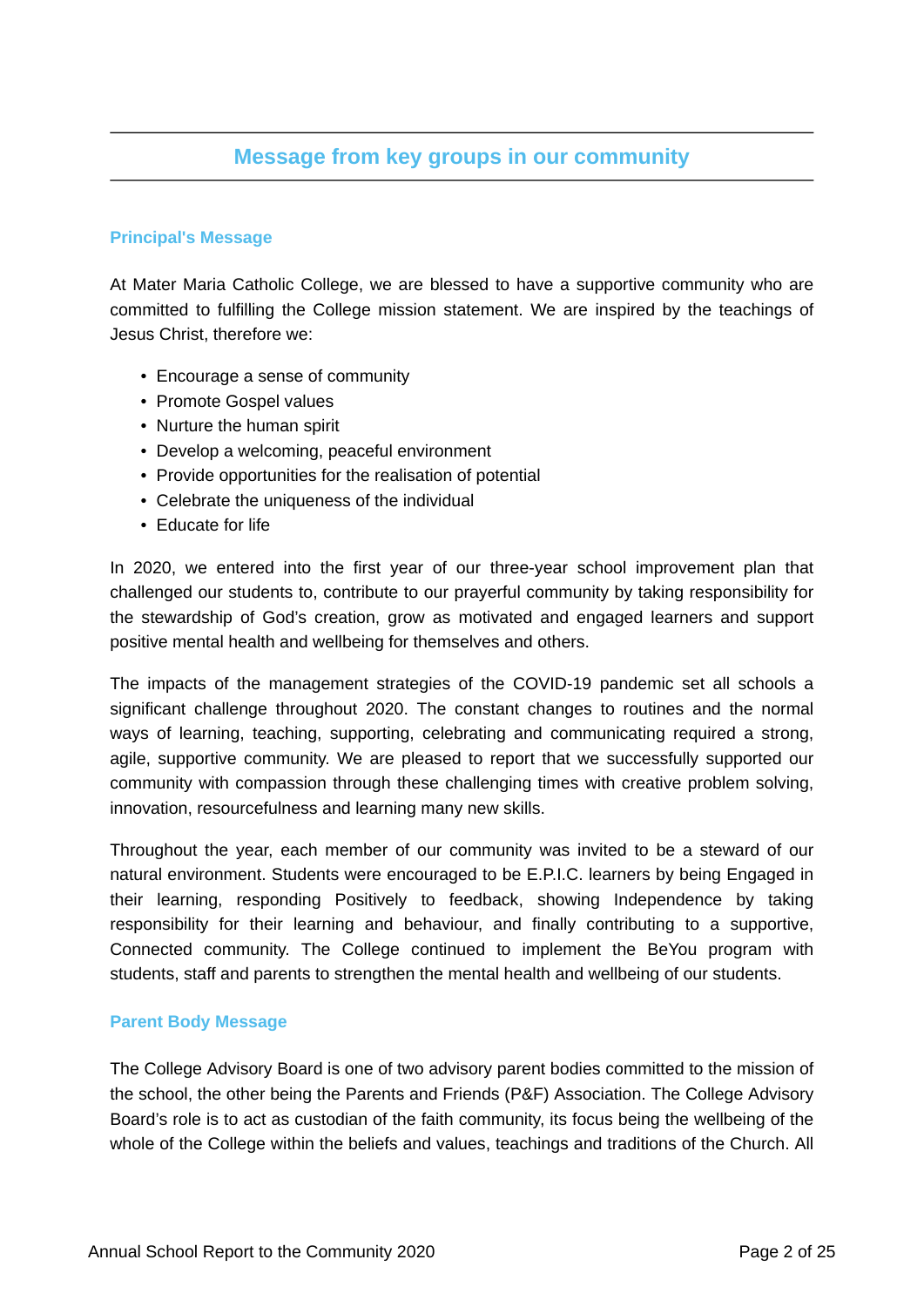## **Message from key groups in our community**

## **Principal's Message**

At Mater Maria Catholic College, we are blessed to have a supportive community who are committed to fulfilling the College mission statement. We are inspired by the teachings of Jesus Christ, therefore we:

- Encourage a sense of community
- Promote Gospel values
- Nurture the human spirit
- Develop a welcoming, peaceful environment
- Provide opportunities for the realisation of potential
- Celebrate the uniqueness of the individual
- Educate for life

In 2020, we entered into the first year of our three-year school improvement plan that challenged our students to, contribute to our prayerful community by taking responsibility for the stewardship of God's creation, grow as motivated and engaged learners and support positive mental health and wellbeing for themselves and others.

The impacts of the management strategies of the COVID-19 pandemic set all schools a significant challenge throughout 2020. The constant changes to routines and the normal ways of learning, teaching, supporting, celebrating and communicating required a strong, agile, supportive community. We are pleased to report that we successfully supported our community with compassion through these challenging times with creative problem solving, innovation, resourcefulness and learning many new skills.

Throughout the year, each member of our community was invited to be a steward of our natural environment. Students were encouraged to be E.P.I.C. learners by being Engaged in their learning, responding Positively to feedback, showing Independence by taking responsibility for their learning and behaviour, and finally contributing to a supportive, Connected community. The College continued to implement the BeYou program with students, staff and parents to strengthen the mental health and wellbeing of our students.

## **Parent Body Message**

The College Advisory Board is one of two advisory parent bodies committed to the mission of the school, the other being the Parents and Friends (P&F) Association. The College Advisory Board's role is to act as custodian of the faith community, its focus being the wellbeing of the whole of the College within the beliefs and values, teachings and traditions of the Church. All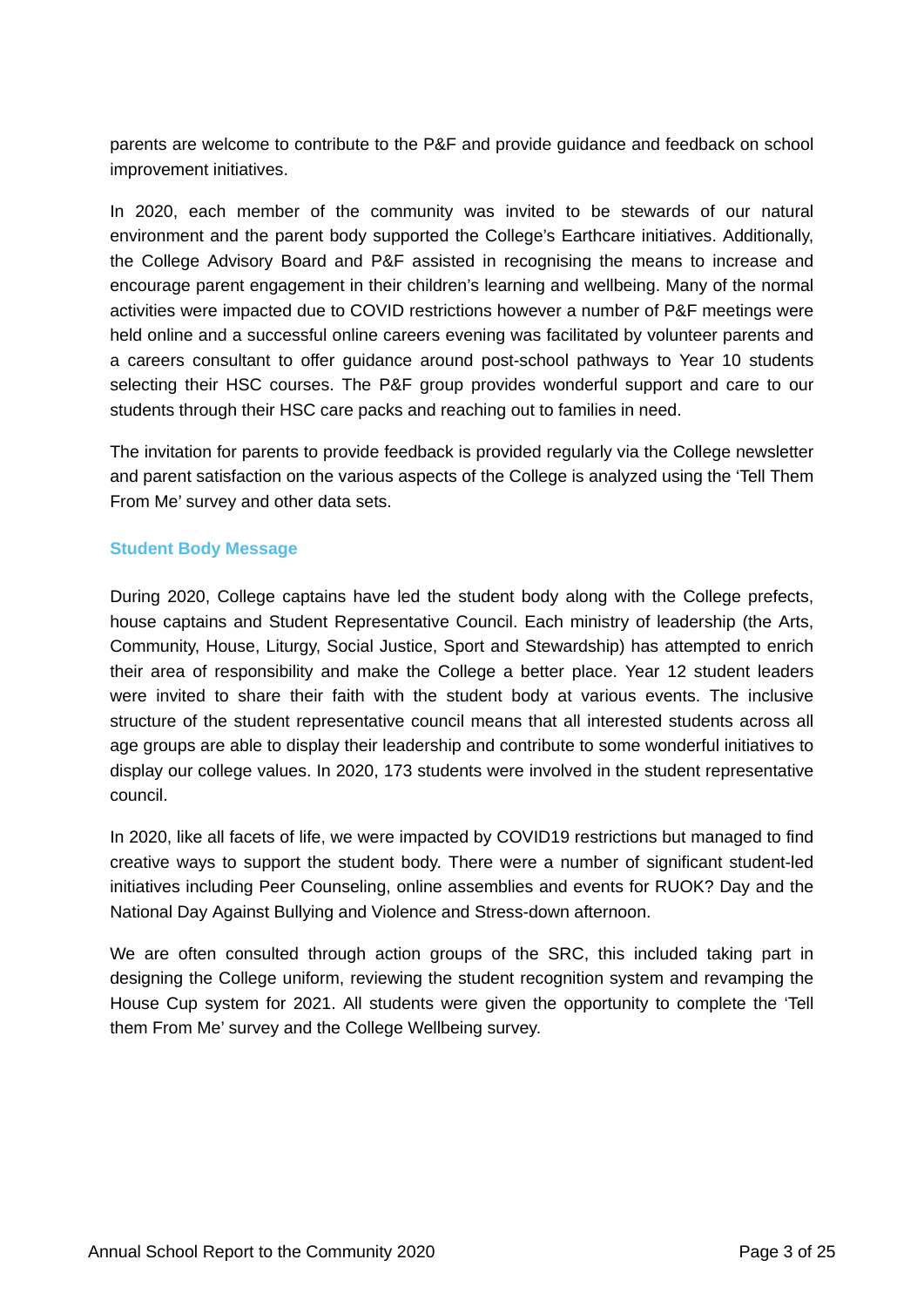parents are welcome to contribute to the P&F and provide guidance and feedback on school improvement initiatives.

In 2020, each member of the community was invited to be stewards of our natural environment and the parent body supported the College's Earthcare initiatives. Additionally, the College Advisory Board and P&F assisted in recognising the means to increase and encourage parent engagement in their children's learning and wellbeing. Many of the normal activities were impacted due to COVID restrictions however a number of P&F meetings were held online and a successful online careers evening was facilitated by volunteer parents and a careers consultant to offer guidance around post-school pathways to Year 10 students selecting their HSC courses. The P&F group provides wonderful support and care to our students through their HSC care packs and reaching out to families in need.

The invitation for parents to provide feedback is provided regularly via the College newsletter and parent satisfaction on the various aspects of the College is analyzed using the 'Tell Them From Me' survey and other data sets.

## **Student Body Message**

During 2020, College captains have led the student body along with the College prefects, house captains and Student Representative Council. Each ministry of leadership (the Arts, Community, House, Liturgy, Social Justice, Sport and Stewardship) has attempted to enrich their area of responsibility and make the College a better place. Year 12 student leaders were invited to share their faith with the student body at various events. The inclusive structure of the student representative council means that all interested students across all age groups are able to display their leadership and contribute to some wonderful initiatives to display our college values. In 2020, 173 students were involved in the student representative council.

In 2020, like all facets of life, we were impacted by COVID19 restrictions but managed to find creative ways to support the student body. There were a number of significant student-led initiatives including Peer Counseling, online assemblies and events for RUOK? Day and the National Day Against Bullying and Violence and Stress-down afternoon.

We are often consulted through action groups of the SRC, this included taking part in designing the College uniform, reviewing the student recognition system and revamping the House Cup system for 2021. All students were given the opportunity to complete the 'Tell them From Me' survey and the College Wellbeing survey.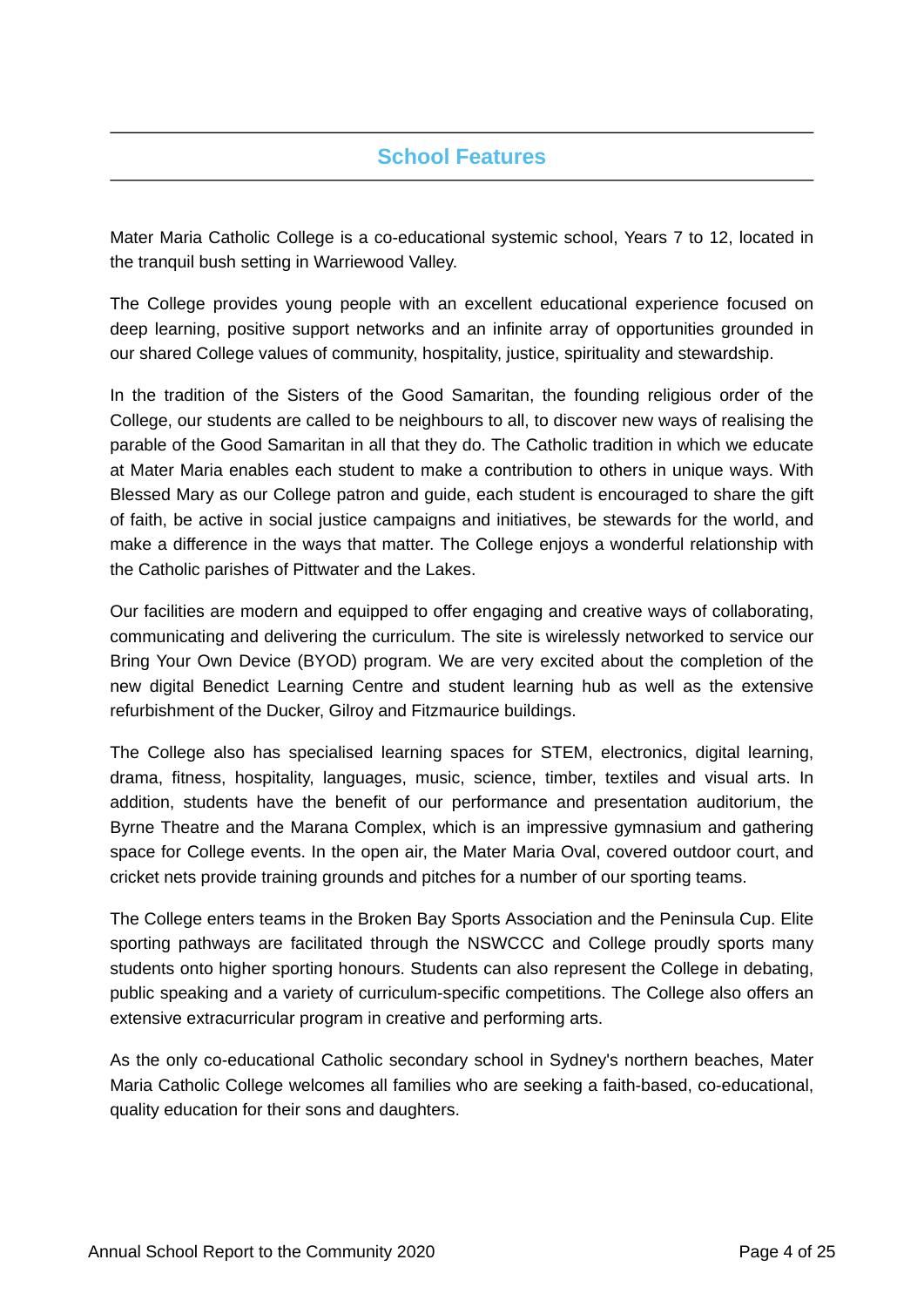# **School Features**

Mater Maria Catholic College is a co-educational systemic school, Years 7 to 12, located in the tranquil bush setting in Warriewood Valley.

The College provides young people with an excellent educational experience focused on deep learning, positive support networks and an infinite array of opportunities grounded in our shared College values of community, hospitality, justice, spirituality and stewardship.

In the tradition of the Sisters of the Good Samaritan, the founding religious order of the College, our students are called to be neighbours to all, to discover new ways of realising the parable of the Good Samaritan in all that they do. The Catholic tradition in which we educate at Mater Maria enables each student to make a contribution to others in unique ways. With Blessed Mary as our College patron and guide, each student is encouraged to share the gift of faith, be active in social justice campaigns and initiatives, be stewards for the world, and make a difference in the ways that matter. The College enjoys a wonderful relationship with the Catholic parishes of Pittwater and the Lakes.

Our facilities are modern and equipped to offer engaging and creative ways of collaborating, communicating and delivering the curriculum. The site is wirelessly networked to service our Bring Your Own Device (BYOD) program. We are very excited about the completion of the new digital Benedict Learning Centre and student learning hub as well as the extensive refurbishment of the Ducker, Gilroy and Fitzmaurice buildings.

The College also has specialised learning spaces for STEM, electronics, digital learning, drama, fitness, hospitality, languages, music, science, timber, textiles and visual arts. In addition, students have the benefit of our performance and presentation auditorium, the Byrne Theatre and the Marana Complex, which is an impressive gymnasium and gathering space for College events. In the open air, the Mater Maria Oval, covered outdoor court, and cricket nets provide training grounds and pitches for a number of our sporting teams.

The College enters teams in the Broken Bay Sports Association and the Peninsula Cup. Elite sporting pathways are facilitated through the NSWCCC and College proudly sports many students onto higher sporting honours. Students can also represent the College in debating, public speaking and a variety of curriculum-specific competitions. The College also offers an extensive extracurricular program in creative and performing arts.

As the only co-educational Catholic secondary school in Sydney's northern beaches, Mater Maria Catholic College welcomes all families who are seeking a faith-based, co-educational, quality education for their sons and daughters.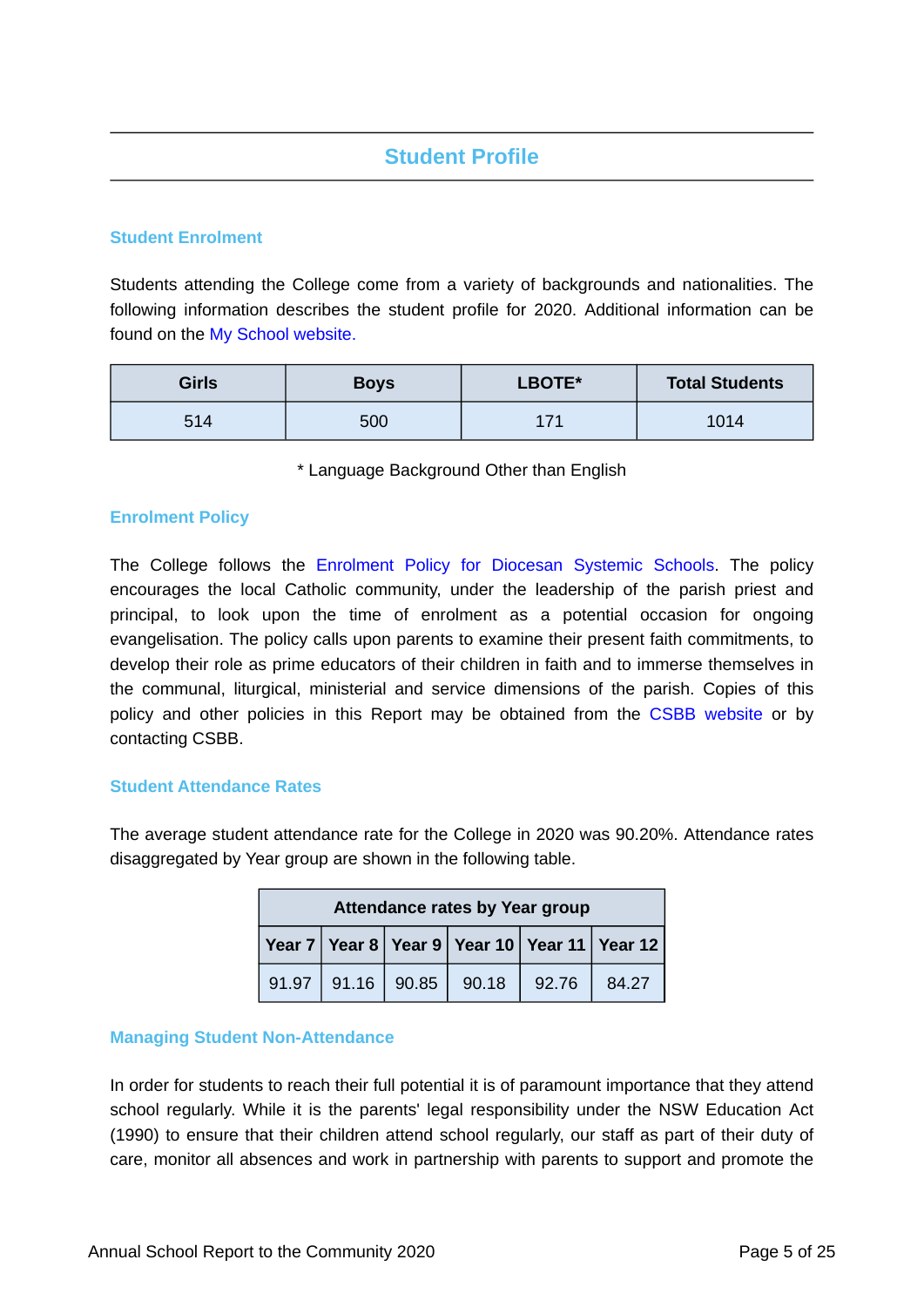# **Student Profile**

## **Student Enrolment**

Students attending the College come from a variety of backgrounds and nationalities. The following information describes the student profile for 2020. Additional information can be found on the [My School website.](https://www.myschool.edu.au/)

| <b>Girls</b> | <b>Boys</b> | LBOTE* | <b>Total Students</b> |
|--------------|-------------|--------|-----------------------|
| 514          | 500         | 171    | 1014                  |

\* Language Background Other than English

## **Enrolment Policy**

The College follows the [Enrolment Policy for Diocesan Systemic Schools](https://www.csodbb.catholic.edu.au/about/Policies). The policy encourages the local Catholic community, under the leadership of the parish priest and principal, to look upon the time of enrolment as a potential occasion for ongoing evangelisation. The policy calls upon parents to examine their present faith commitments, to develop their role as prime educators of their children in faith and to immerse themselves in the communal, liturgical, ministerial and service dimensions of the parish. Copies of this policy and other policies in this Report may be obtained from the [CSBB website](https://www.csodbb.catholic.edu.au/about/Policies) or by contacting CSBB.

## **Student Attendance Rates**

The average student attendance rate for the College in 2020 was 90.20%. Attendance rates disaggregated by Year group are shown in the following table.

| Attendance rates by Year group |       |       |       |       |                                                        |
|--------------------------------|-------|-------|-------|-------|--------------------------------------------------------|
|                                |       |       |       |       | Year 7   Year 8   Year 9   Year 10   Year 11   Year 12 |
| 91.97                          | 91.16 | 90.85 | 90.18 | 92.76 | 84.27                                                  |

## **Managing Student Non-Attendance**

In order for students to reach their full potential it is of paramount importance that they attend school regularly. While it is the parents' legal responsibility under the NSW Education Act (1990) to ensure that their children attend school regularly, our staff as part of their duty of care, monitor all absences and work in partnership with parents to support and promote the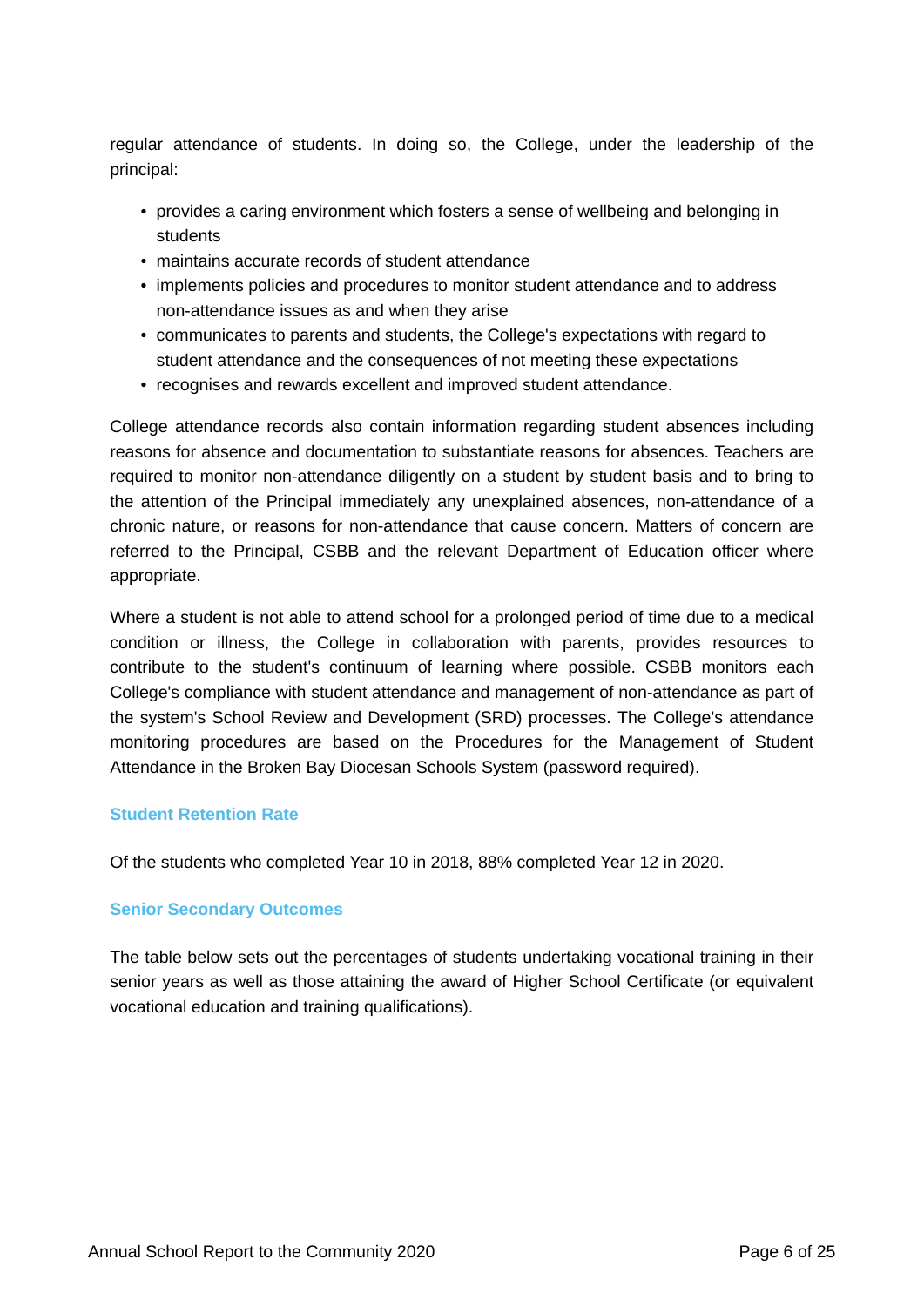regular attendance of students. In doing so, the College, under the leadership of the principal:

- provides a caring environment which fosters a sense of wellbeing and belonging in students
- maintains accurate records of student attendance
- implements policies and procedures to monitor student attendance and to address non-attendance issues as and when they arise
- communicates to parents and students, the College's expectations with regard to student attendance and the consequences of not meeting these expectations
- recognises and rewards excellent and improved student attendance.

College attendance records also contain information regarding student absences including reasons for absence and documentation to substantiate reasons for absences. Teachers are required to monitor non-attendance diligently on a student by student basis and to bring to the attention of the Principal immediately any unexplained absences, non-attendance of a chronic nature, or reasons for non-attendance that cause concern. Matters of concern are referred to the Principal, CSBB and the relevant Department of Education officer where appropriate.

Where a student is not able to attend school for a prolonged period of time due to a medical condition or illness, the College in collaboration with parents, provides resources to contribute to the student's continuum of learning where possible. CSBB monitors each College's compliance with student attendance and management of non-attendance as part of the system's School Review and Development (SRD) processes. The College's attendance monitoring procedures are based on the Procedures for the Management of Student Attendance in the Broken Bay Diocesan Schools System (password required).

## **Student Retention Rate**

Of the students who completed Year 10 in 2018, 88% completed Year 12 in 2020.

## **Senior Secondary Outcomes**

The table below sets out the percentages of students undertaking vocational training in their senior years as well as those attaining the award of Higher School Certificate (or equivalent vocational education and training qualifications).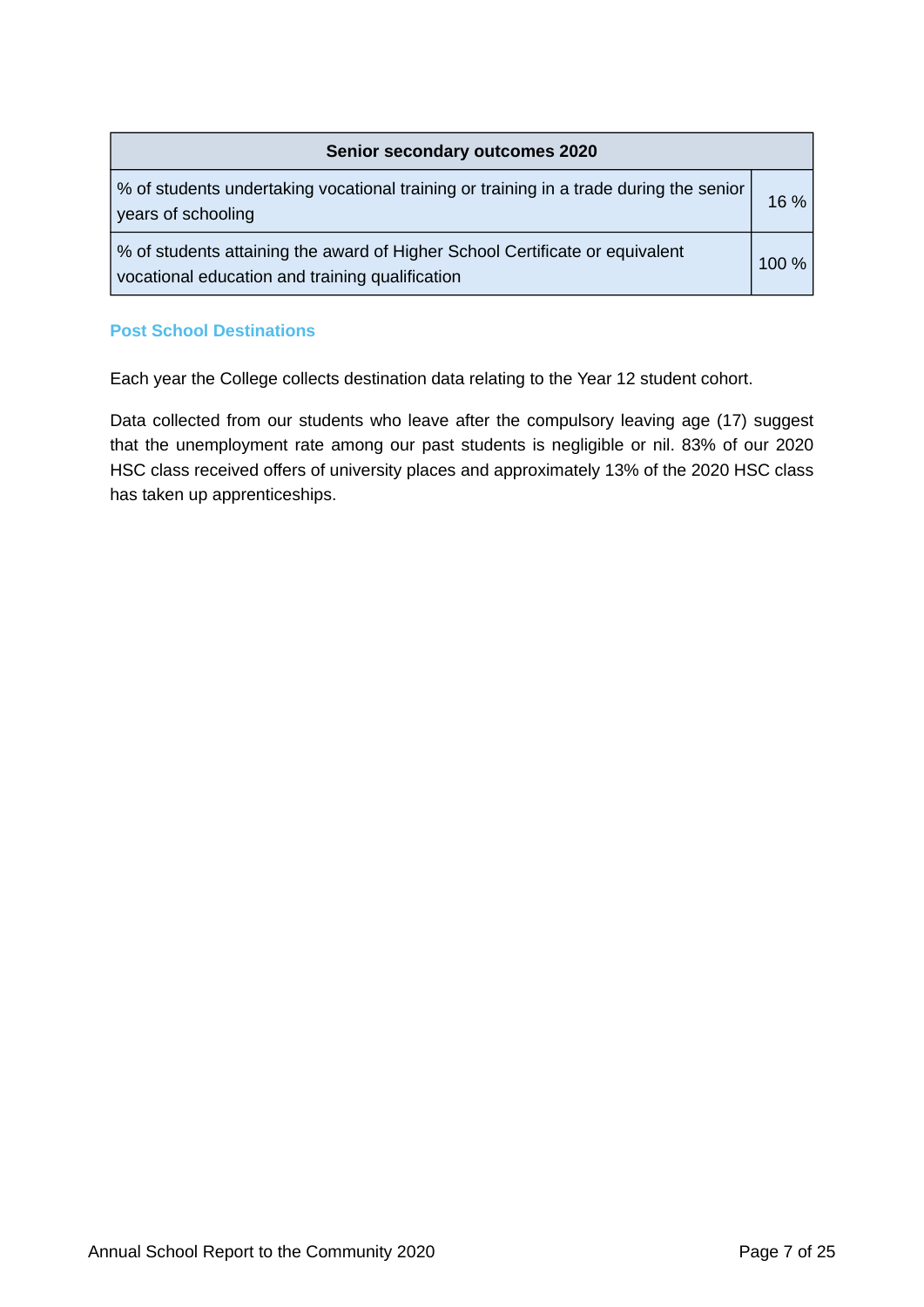| <b>Senior secondary outcomes 2020</b>                                                                                           |       |  |  |
|---------------------------------------------------------------------------------------------------------------------------------|-------|--|--|
| % of students undertaking vocational training or training in a trade during the senior<br>years of schooling                    | 16 %  |  |  |
| % of students attaining the award of Higher School Certificate or equivalent<br>vocational education and training qualification | 100 % |  |  |

## **Post School Destinations**

Each year the College collects destination data relating to the Year 12 student cohort.

Data collected from our students who leave after the compulsory leaving age (17) suggest that the unemployment rate among our past students is negligible or nil. 83% of our 2020 HSC class received offers of university places and approximately 13% of the 2020 HSC class has taken up apprenticeships.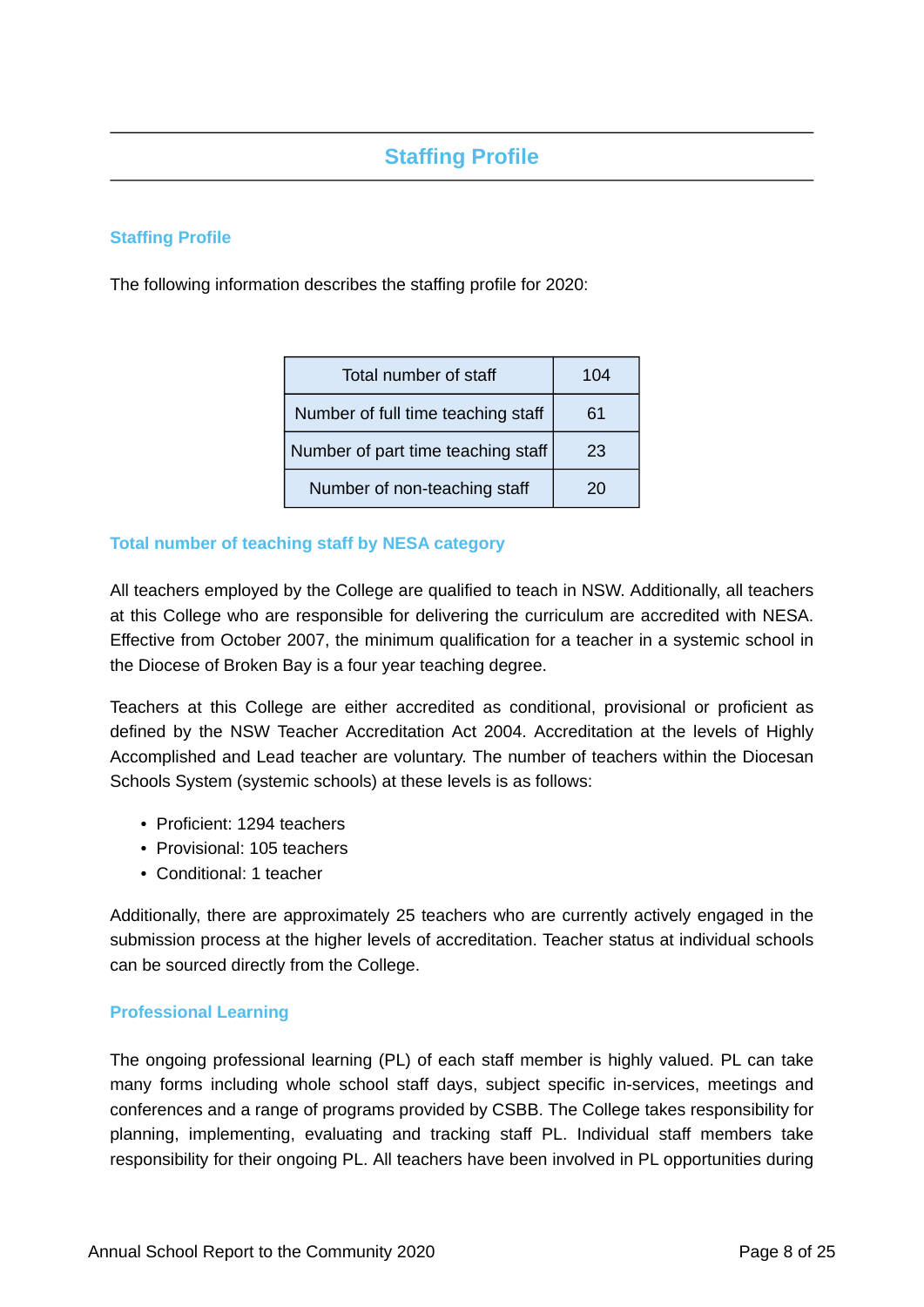# **Staffing Profile**

## **Staffing Profile**

The following information describes the staffing profile for 2020:

| Total number of staff              | 104 |
|------------------------------------|-----|
| Number of full time teaching staff | 61  |
| Number of part time teaching staff | 23  |
| Number of non-teaching staff       | 20  |

## **Total number of teaching staff by NESA category**

All teachers employed by the College are qualified to teach in NSW. Additionally, all teachers at this College who are responsible for delivering the curriculum are accredited with NESA. Effective from October 2007, the minimum qualification for a teacher in a systemic school in the Diocese of Broken Bay is a four year teaching degree.

Teachers at this College are either accredited as conditional, provisional or proficient as defined by the NSW Teacher Accreditation Act 2004. Accreditation at the levels of Highly Accomplished and Lead teacher are voluntary. The number of teachers within the Diocesan Schools System (systemic schools) at these levels is as follows:

- Proficient: 1294 teachers
- Provisional: 105 teachers
- Conditional: 1 teacher

Additionally, there are approximately 25 teachers who are currently actively engaged in the submission process at the higher levels of accreditation. Teacher status at individual schools can be sourced directly from the College.

## **Professional Learning**

The ongoing professional learning (PL) of each staff member is highly valued. PL can take many forms including whole school staff days, subject specific in-services, meetings and conferences and a range of programs provided by CSBB. The College takes responsibility for planning, implementing, evaluating and tracking staff PL. Individual staff members take responsibility for their ongoing PL. All teachers have been involved in PL opportunities during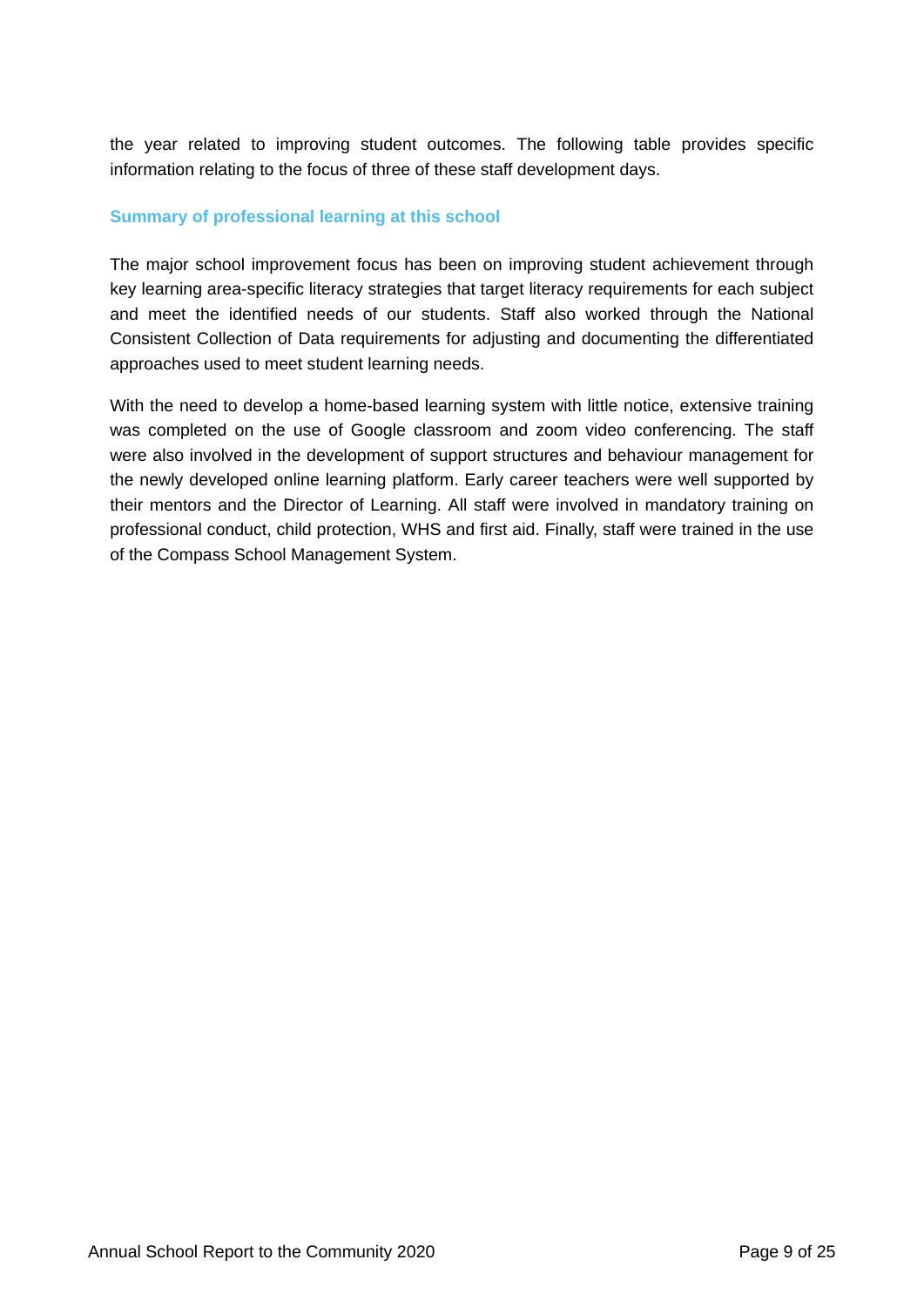the year related to improving student outcomes. The following table provides specific information relating to the focus of three of these staff development days.

## **Summary of professional learning at this school**

The major school improvement focus has been on improving student achievement through key learning area-specific literacy strategies that target literacy requirements for each subject and meet the identified needs of our students. Staff also worked through the National Consistent Collection of Data requirements for adjusting and documenting the differentiated approaches used to meet student learning needs.

With the need to develop a home-based learning system with little notice, extensive training was completed on the use of Google classroom and zoom video conferencing. The staff were also involved in the development of support structures and behaviour management for the newly developed online learning platform. Early career teachers were well supported by their mentors and the Director of Learning. All staff were involved in mandatory training on professional conduct, child protection, WHS and first aid. Finally, staff were trained in the use of the Compass School Management System.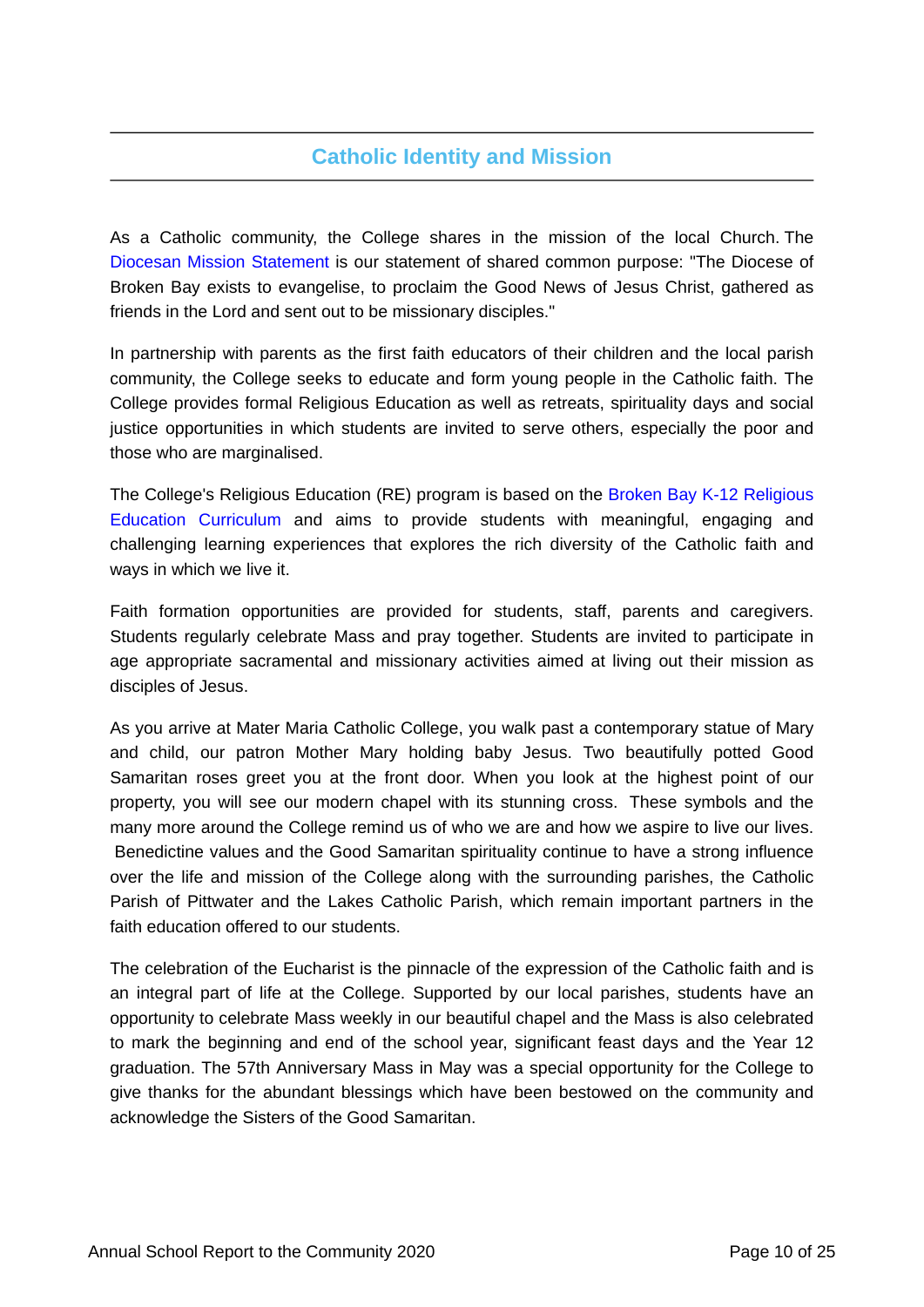# **Catholic Identity and Mission**

As a Catholic community, the College shares in the mission of the local Church. The [Diocesan Mission Statement](https://www.csodbb.catholic.edu.au/mission/Catholic-Life) is our statement of shared common purpose: "The Diocese of Broken Bay exists to evangelise, to proclaim the Good News of Jesus Christ, gathered as friends in the Lord and sent out to be missionary disciples."

In partnership with parents as the first faith educators of their children and the local parish community, the College seeks to educate and form young people in the Catholic faith. The College provides formal Religious Education as well as retreats, spirituality days and social justice opportunities in which students are invited to serve others, especially the poor and those who are marginalised.

The College's Religious Education (RE) program is based on the [Broken Bay K-12 Religious](https://www.csodbb.catholic.edu.au/mission/Religious-Education) [Education Curriculum](https://www.csodbb.catholic.edu.au/mission/Religious-Education) and aims to provide students with meaningful, engaging and challenging learning experiences that explores the rich diversity of the Catholic faith and ways in which we live it.

Faith formation opportunities are provided for students, staff, parents and caregivers. Students regularly celebrate Mass and pray together. Students are invited to participate in age appropriate sacramental and missionary activities aimed at living out their mission as disciples of Jesus.

As you arrive at Mater Maria Catholic College, you walk past a contemporary statue of Mary and child, our patron Mother Mary holding baby Jesus. Two beautifully potted Good Samaritan roses greet you at the front door. When you look at the highest point of our property, you will see our modern chapel with its stunning cross. These symbols and the many more around the College remind us of who we are and how we aspire to live our lives. Benedictine values and the Good Samaritan spirituality continue to have a strong influence over the life and mission of the College along with the surrounding parishes, the Catholic Parish of Pittwater and the Lakes Catholic Parish, which remain important partners in the faith education offered to our students.

The celebration of the Eucharist is the pinnacle of the expression of the Catholic faith and is an integral part of life at the College. Supported by our local parishes, students have an opportunity to celebrate Mass weekly in our beautiful chapel and the Mass is also celebrated to mark the beginning and end of the school year, significant feast days and the Year 12 graduation. The 57th Anniversary Mass in May was a special opportunity for the College to give thanks for the abundant blessings which have been bestowed on the community and acknowledge the Sisters of the Good Samaritan.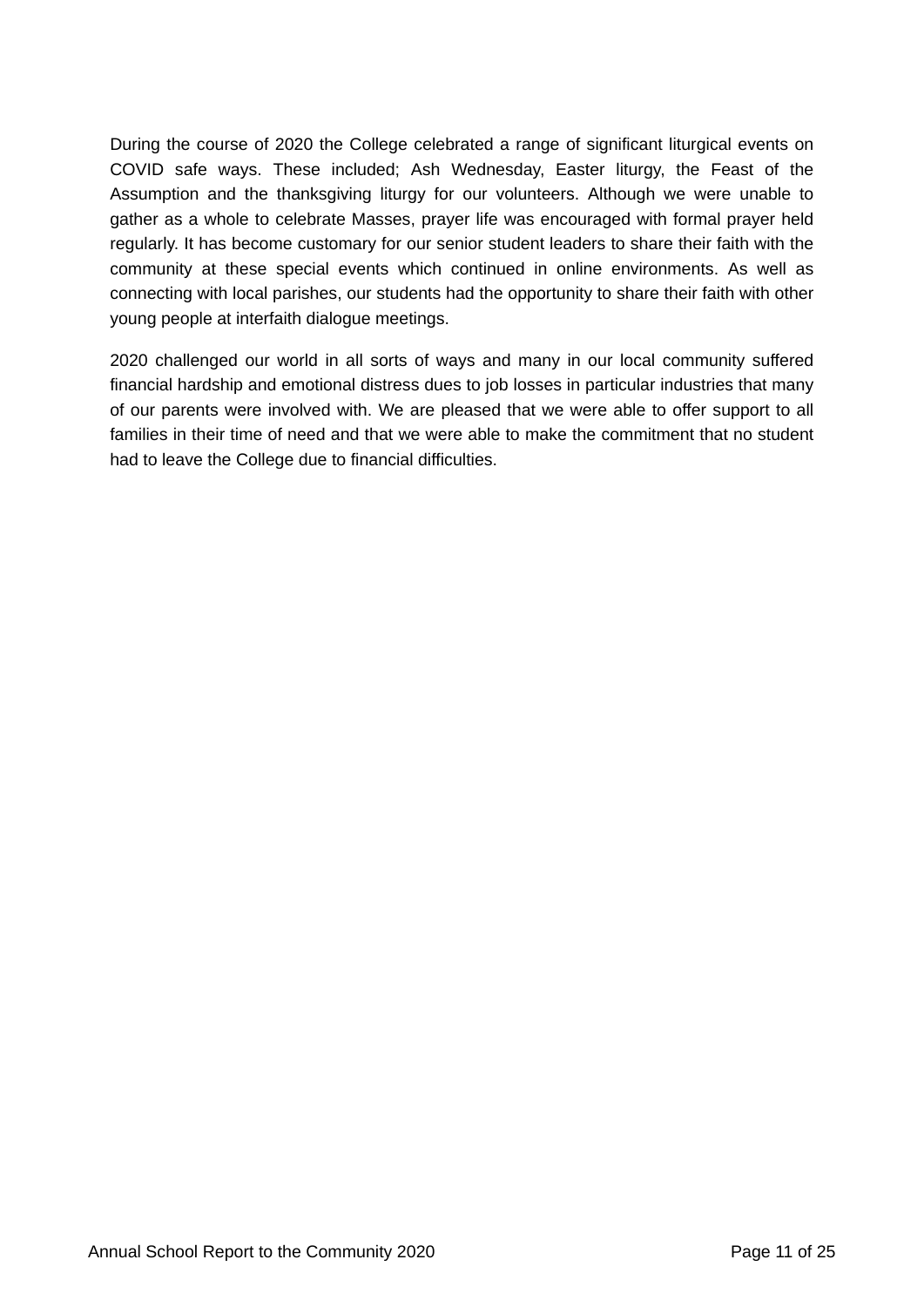During the course of 2020 the College celebrated a range of significant liturgical events on COVID safe ways. These included; Ash Wednesday, Easter liturgy, the Feast of the Assumption and the thanksgiving liturgy for our volunteers. Although we were unable to gather as a whole to celebrate Masses, prayer life was encouraged with formal prayer held regularly. It has become customary for our senior student leaders to share their faith with the community at these special events which continued in online environments. As well as connecting with local parishes, our students had the opportunity to share their faith with other young people at interfaith dialogue meetings.

2020 challenged our world in all sorts of ways and many in our local community suffered financial hardship and emotional distress dues to job losses in particular industries that many of our parents were involved with. We are pleased that we were able to offer support to all families in their time of need and that we were able to make the commitment that no student had to leave the College due to financial difficulties.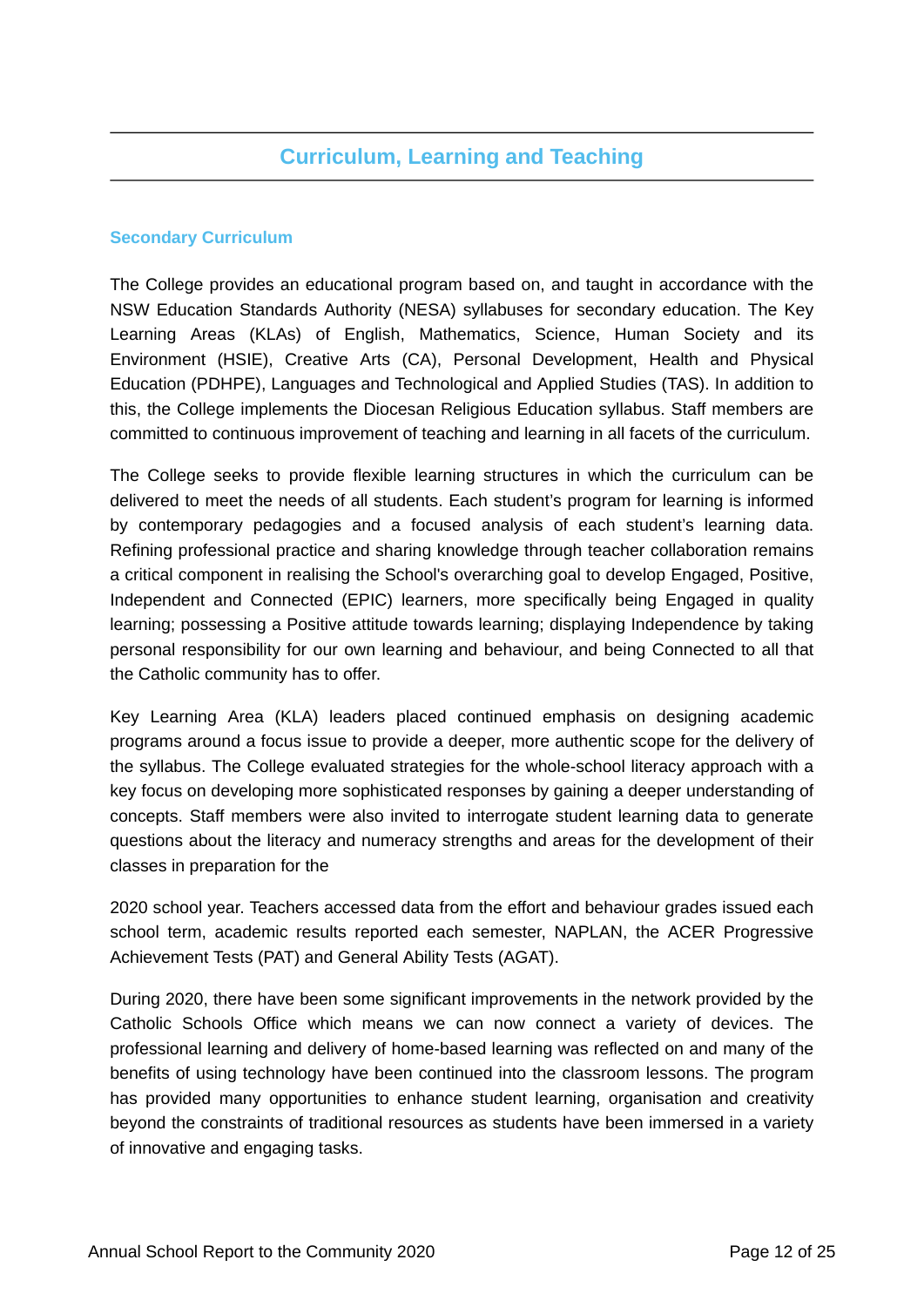## **Curriculum, Learning and Teaching**

## **Secondary Curriculum**

The College provides an educational program based on, and taught in accordance with the NSW Education Standards Authority (NESA) syllabuses for secondary education. The Key Learning Areas (KLAs) of English, Mathematics, Science, Human Society and its Environment (HSIE), Creative Arts (CA), Personal Development, Health and Physical Education (PDHPE), Languages and Technological and Applied Studies (TAS). In addition to this, the College implements the Diocesan Religious Education syllabus. Staff members are committed to continuous improvement of teaching and learning in all facets of the curriculum.

The College seeks to provide flexible learning structures in which the curriculum can be delivered to meet the needs of all students. Each student's program for learning is informed by contemporary pedagogies and a focused analysis of each student's learning data. Refining professional practice and sharing knowledge through teacher collaboration remains a critical component in realising the School's overarching goal to develop Engaged, Positive, Independent and Connected (EPIC) learners, more specifically being Engaged in quality learning; possessing a Positive attitude towards learning; displaying Independence by taking personal responsibility for our own learning and behaviour, and being Connected to all that the Catholic community has to offer.

Key Learning Area (KLA) leaders placed continued emphasis on designing academic programs around a focus issue to provide a deeper, more authentic scope for the delivery of the syllabus. The College evaluated strategies for the whole-school literacy approach with a key focus on developing more sophisticated responses by gaining a deeper understanding of concepts. Staff members were also invited to interrogate student learning data to generate questions about the literacy and numeracy strengths and areas for the development of their classes in preparation for the

2020 school year. Teachers accessed data from the effort and behaviour grades issued each school term, academic results reported each semester, NAPLAN, the ACER Progressive Achievement Tests (PAT) and General Ability Tests (AGAT).

During 2020, there have been some significant improvements in the network provided by the Catholic Schools Office which means we can now connect a variety of devices. The professional learning and delivery of home-based learning was reflected on and many of the benefits of using technology have been continued into the classroom lessons. The program has provided many opportunities to enhance student learning, organisation and creativity beyond the constraints of traditional resources as students have been immersed in a variety of innovative and engaging tasks.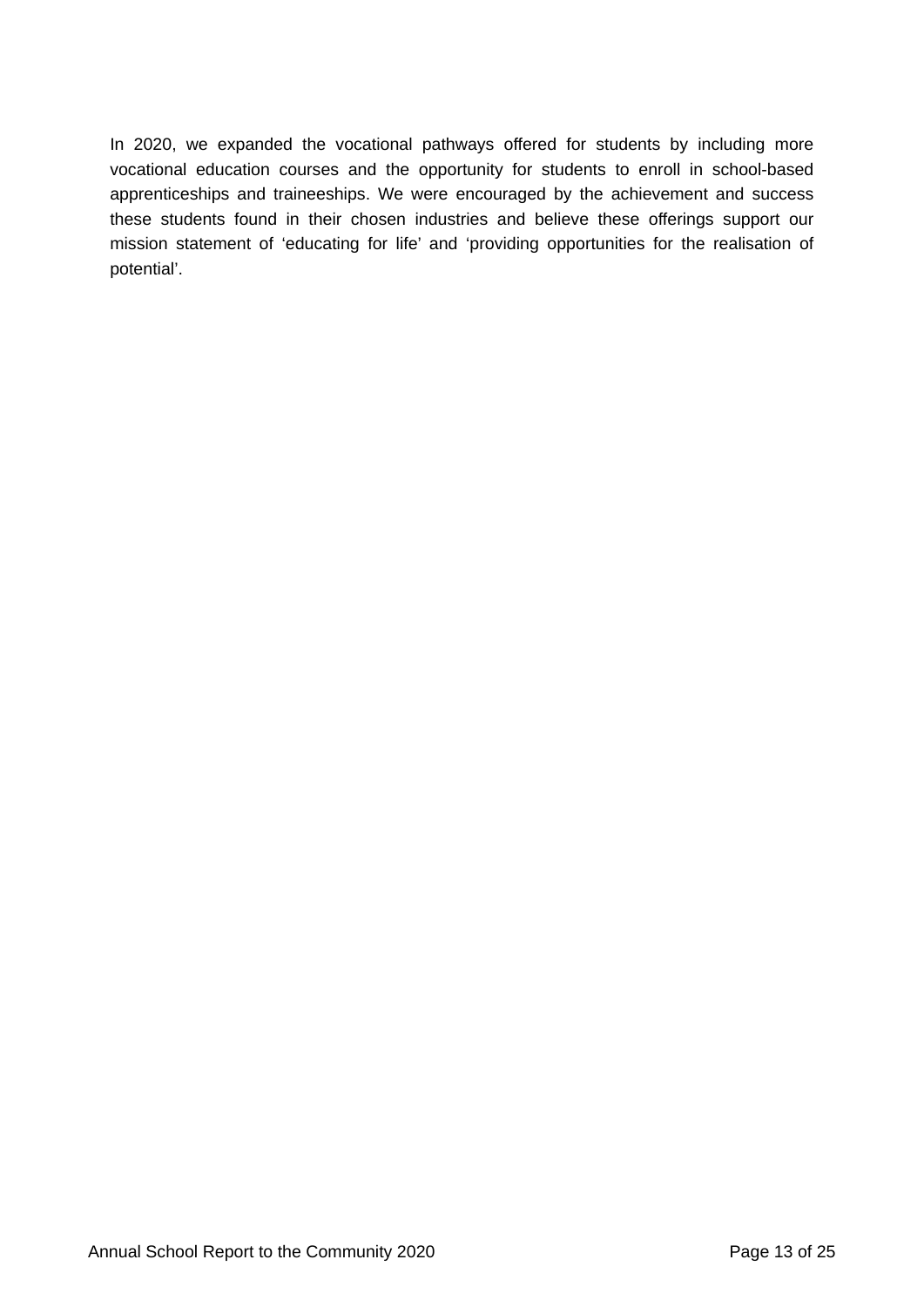In 2020, we expanded the vocational pathways offered for students by including more vocational education courses and the opportunity for students to enroll in school-based apprenticeships and traineeships. We were encouraged by the achievement and success these students found in their chosen industries and believe these offerings support our mission statement of 'educating for life' and 'providing opportunities for the realisation of potential'.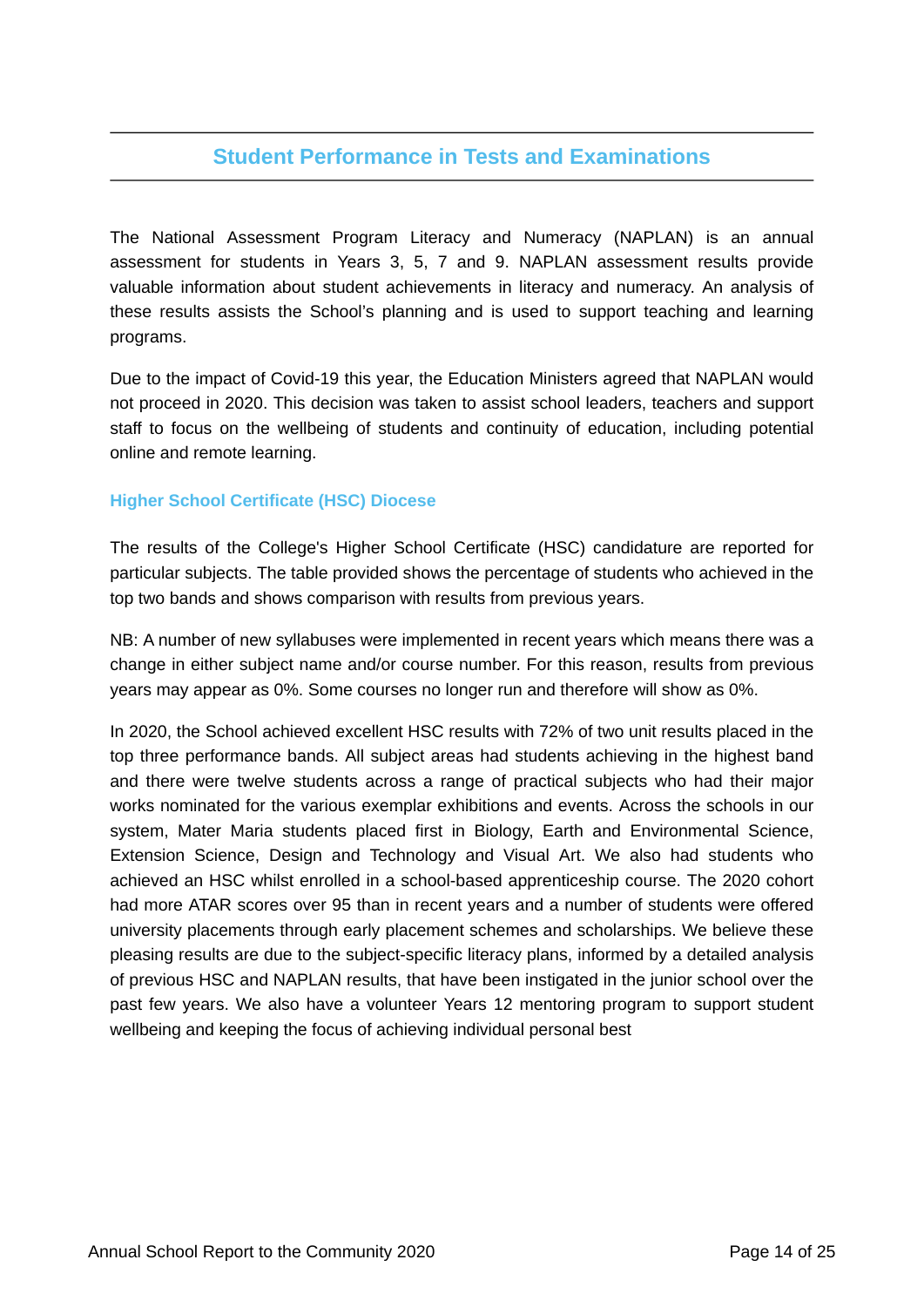## **Student Performance in Tests and Examinations**

The National Assessment Program Literacy and Numeracy (NAPLAN) is an annual assessment for students in Years 3, 5, 7 and 9. NAPLAN assessment results provide valuable information about student achievements in literacy and numeracy. An analysis of these results assists the School's planning and is used to support teaching and learning programs.

Due to the impact of Covid-19 this year, the Education Ministers agreed that NAPLAN would not proceed in 2020. This decision was taken to assist school leaders, teachers and support staff to focus on the wellbeing of students and continuity of education, including potential online and remote learning.

## **Higher School Certificate (HSC) Diocese**

The results of the College's Higher School Certificate (HSC) candidature are reported for particular subjects. The table provided shows the percentage of students who achieved in the top two bands and shows comparison with results from previous years.

NB: A number of new syllabuses were implemented in recent years which means there was a change in either subject name and/or course number. For this reason, results from previous years may appear as 0%. Some courses no longer run and therefore will show as 0%.

In 2020, the School achieved excellent HSC results with 72% of two unit results placed in the top three performance bands. All subject areas had students achieving in the highest band and there were twelve students across a range of practical subjects who had their major works nominated for the various exemplar exhibitions and events. Across the schools in our system, Mater Maria students placed first in Biology, Earth and Environmental Science, Extension Science, Design and Technology and Visual Art. We also had students who achieved an HSC whilst enrolled in a school-based apprenticeship course. The 2020 cohort had more ATAR scores over 95 than in recent years and a number of students were offered university placements through early placement schemes and scholarships. We believe these pleasing results are due to the subject-specific literacy plans, informed by a detailed analysis of previous HSC and NAPLAN results, that have been instigated in the junior school over the past few years. We also have a volunteer Years 12 mentoring program to support student wellbeing and keeping the focus of achieving individual personal best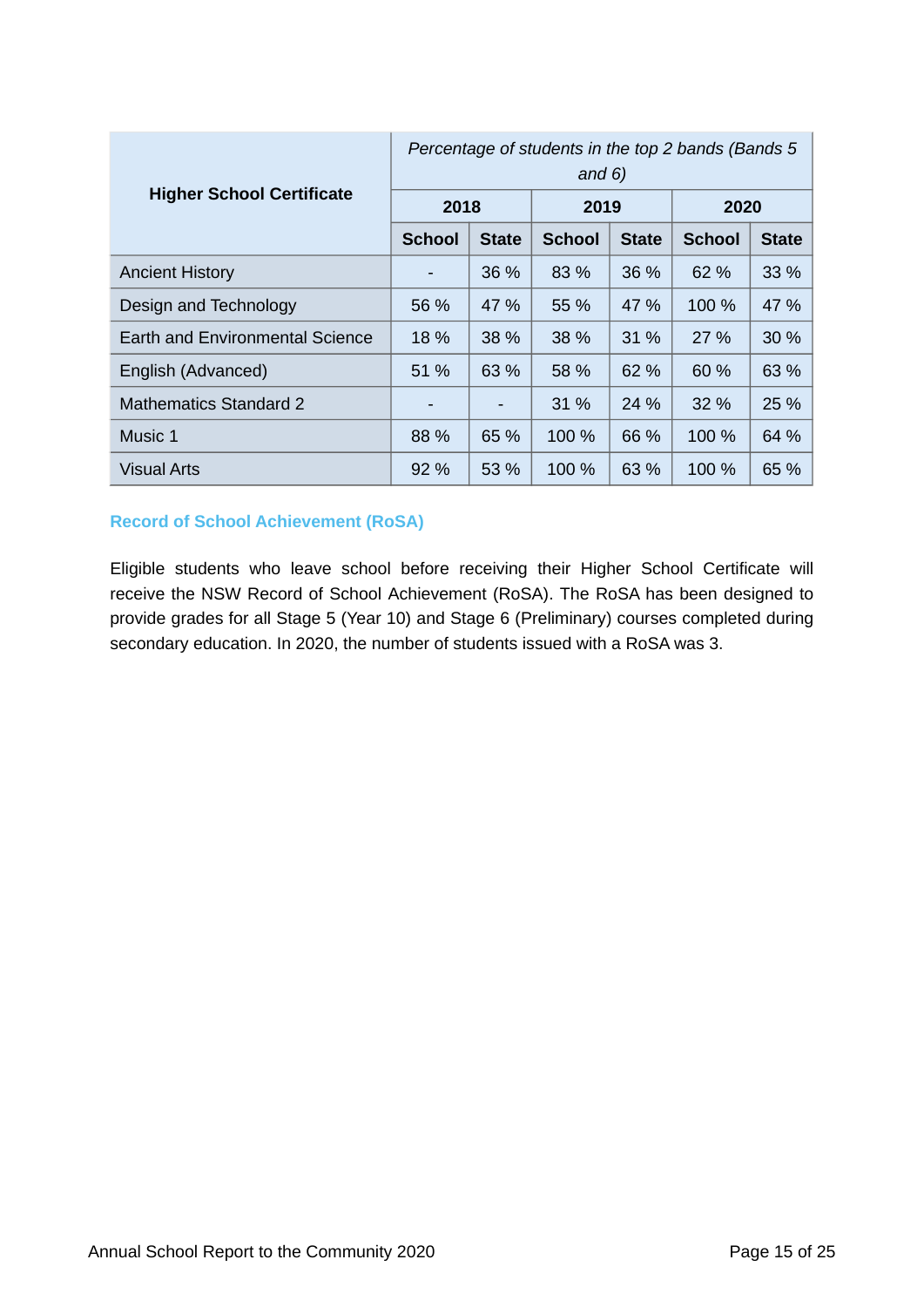|                                  | Percentage of students in the top 2 bands (Bands 5<br>and $6)$ |              |               |              |               |              |
|----------------------------------|----------------------------------------------------------------|--------------|---------------|--------------|---------------|--------------|
| <b>Higher School Certificate</b> | 2018                                                           |              | 2019          |              | 2020          |              |
|                                  | <b>School</b>                                                  | <b>State</b> | <b>School</b> | <b>State</b> | <b>School</b> | <b>State</b> |
| <b>Ancient History</b>           |                                                                | 36 %         | 83 %          | 36 %         | 62 %          | $33\%$       |
| Design and Technology            | 56 %                                                           | 47 %         | 55 %          | 47 %         | 100 %         | 47 %         |
| Earth and Environmental Science  | 18 %                                                           | 38 %         | 38 %          | 31 %         | 27 %          | 30%          |
| English (Advanced)               | 51 %                                                           | 63 %         | 58 %          | 62 %         | 60 %          | 63 %         |
| <b>Mathematics Standard 2</b>    |                                                                |              | 31 %          | 24 %         | 32 %          | 25 %         |
| Music 1                          | 88 %                                                           | 65 %         | 100 %         | 66 %         | 100 %         | 64 %         |
| <b>Visual Arts</b>               | $92\%$                                                         | 53 %         | 100 %         | 63 %         | 100 %         | 65 %         |

## **Record of School Achievement (RoSA)**

Eligible students who leave school before receiving their Higher School Certificate will receive the NSW Record of School Achievement (RoSA). The RoSA has been designed to provide grades for all Stage 5 (Year 10) and Stage 6 (Preliminary) courses completed during secondary education. In 2020, the number of students issued with a RoSA was 3.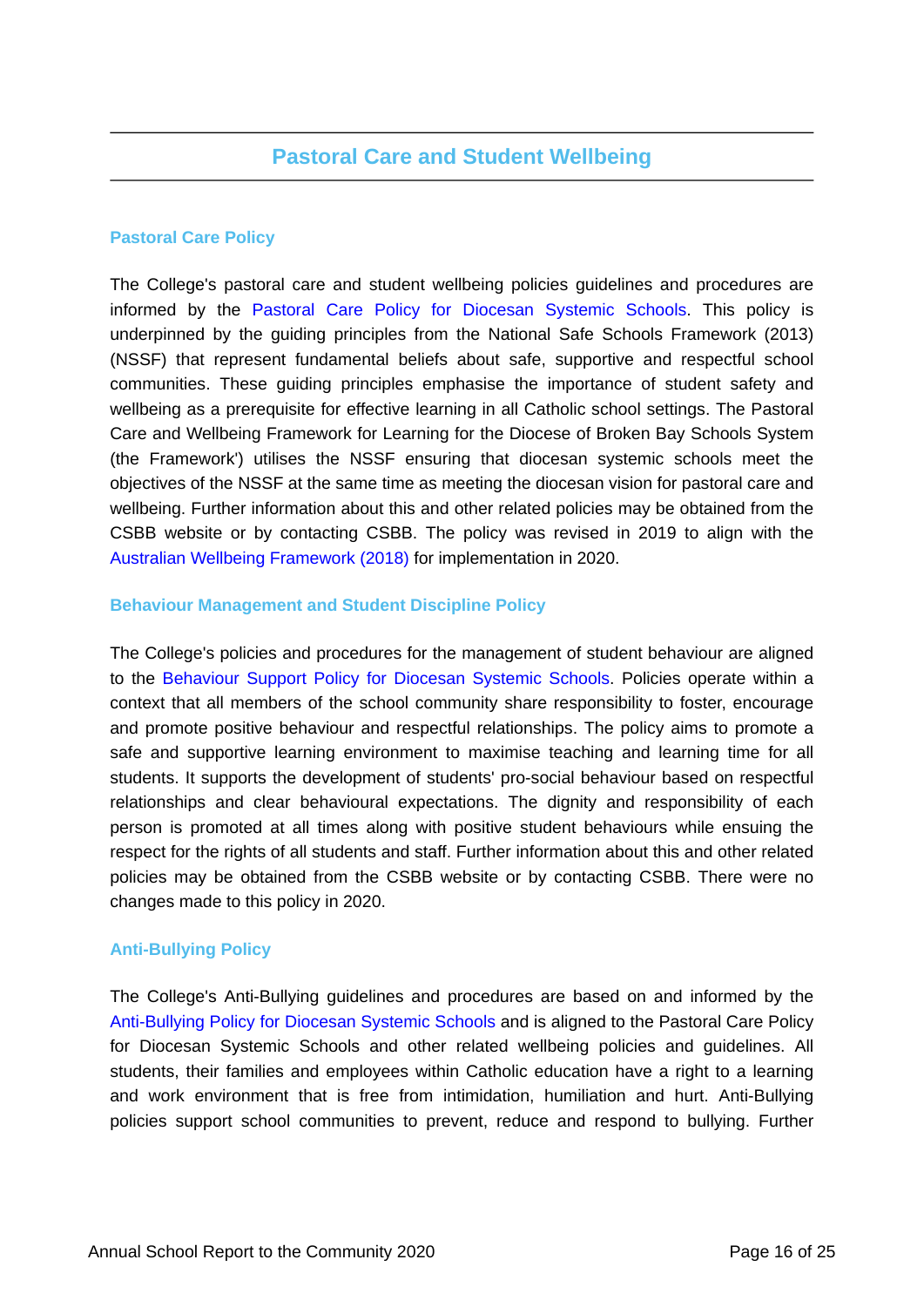## **Pastoral Care Policy**

The College's pastoral care and student wellbeing policies guidelines and procedures are informed by the [Pastoral Care Policy for Diocesan Systemic Schools.](https://www.csodbb.catholic.edu.au/about/Policies) This policy is underpinned by the guiding principles from the National Safe Schools Framework (2013) (NSSF) that represent fundamental beliefs about safe, supportive and respectful school communities. These guiding principles emphasise the importance of student safety and wellbeing as a prerequisite for effective learning in all Catholic school settings. The Pastoral Care and Wellbeing Framework for Learning for the Diocese of Broken Bay Schools System (the Framework') utilises the NSSF ensuring that diocesan systemic schools meet the objectives of the NSSF at the same time as meeting the diocesan vision for pastoral care and wellbeing. Further information about this and other related policies may be obtained from the CSBB website or by contacting CSBB. The policy was revised in 2019 to align with the [Australian Wellbeing Framework \(2018\)](https://studentwellbeinghub.edu.au/educators/framework/) for implementation in 2020.

## **Behaviour Management and Student Discipline Policy**

The College's policies and procedures for the management of student behaviour are aligned to the [Behaviour Support Policy for Diocesan Systemic Schools.](https://www.csodbb.catholic.edu.au/about/Policies) Policies operate within a context that all members of the school community share responsibility to foster, encourage and promote positive behaviour and respectful relationships. The policy aims to promote a safe and supportive learning environment to maximise teaching and learning time for all students. It supports the development of students' pro-social behaviour based on respectful relationships and clear behavioural expectations. The dignity and responsibility of each person is promoted at all times along with positive student behaviours while ensuing the respect for the rights of all students and staff. Further information about this and other related policies may be obtained from the CSBB website or by contacting CSBB. There were no changes made to this policy in 2020.

## **Anti-Bullying Policy**

The College's Anti-Bullying guidelines and procedures are based on and informed by the [Anti-Bullying Policy for Diocesan Systemic Schools](https://www.csodbb.catholic.edu.au/about/Policies) and is aligned to the Pastoral Care Policy for Diocesan Systemic Schools and other related wellbeing policies and guidelines. All students, their families and employees within Catholic education have a right to a learning and work environment that is free from intimidation, humiliation and hurt. Anti-Bullying policies support school communities to prevent, reduce and respond to bullying. Further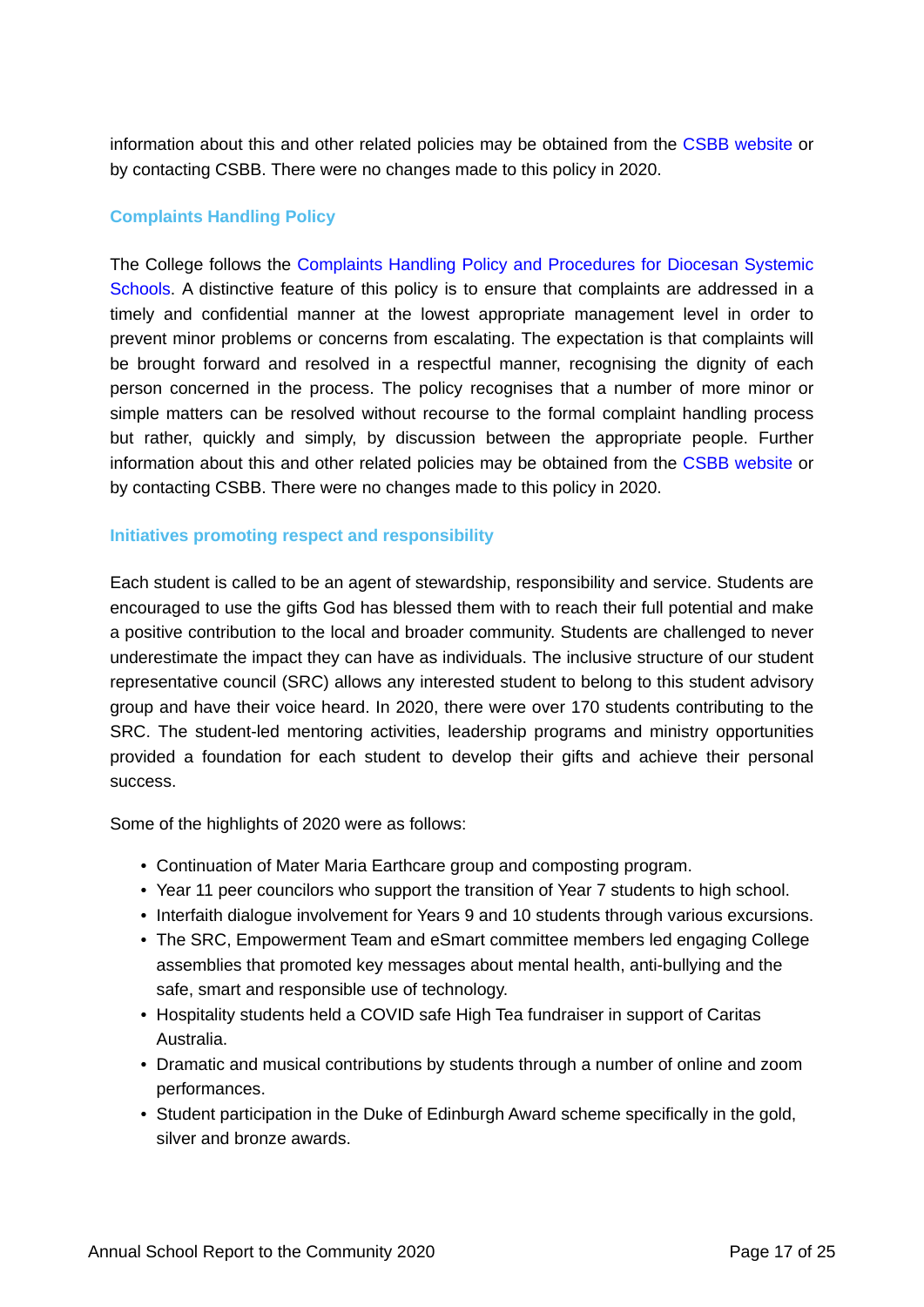information about this and other related policies may be obtained from the [CSBB website](https://www.csodbb.catholic.edu.au/about/Overview) or by contacting CSBB. There were no changes made to this policy in 2020.

## **Complaints Handling Policy**

The College follows the [Complaints Handling Policy and Procedures for Diocesan Systemic](https://www.csodbb.catholic.edu.au/about/Policies) [Schools.](https://www.csodbb.catholic.edu.au/about/Policies) A distinctive feature of this policy is to ensure that complaints are addressed in a timely and confidential manner at the lowest appropriate management level in order to prevent minor problems or concerns from escalating. The expectation is that complaints will be brought forward and resolved in a respectful manner, recognising the dignity of each person concerned in the process. The policy recognises that a number of more minor or simple matters can be resolved without recourse to the formal complaint handling process but rather, quickly and simply, by discussion between the appropriate people. Further information about this and other related policies may be obtained from the [CSBB website](https://www.csodbb.catholic.edu.au/about/Policies) or by contacting CSBB. There were no changes made to this policy in 2020.

## **Initiatives promoting respect and responsibility**

Each student is called to be an agent of stewardship, responsibility and service. Students are encouraged to use the gifts God has blessed them with to reach their full potential and make a positive contribution to the local and broader community. Students are challenged to never underestimate the impact they can have as individuals. The inclusive structure of our student representative council (SRC) allows any interested student to belong to this student advisory group and have their voice heard. In 2020, there were over 170 students contributing to the SRC. The student-led mentoring activities, leadership programs and ministry opportunities provided a foundation for each student to develop their gifts and achieve their personal success.

Some of the highlights of 2020 were as follows:

- Continuation of Mater Maria Earthcare group and composting program.
- Year 11 peer councilors who support the transition of Year 7 students to high school.
- Interfaith dialogue involvement for Years 9 and 10 students through various excursions.
- The SRC, Empowerment Team and eSmart committee members led engaging College assemblies that promoted key messages about mental health, anti-bullying and the safe, smart and responsible use of technology.
- Hospitality students held a COVID safe High Tea fundraiser in support of Caritas Australia.
- Dramatic and musical contributions by students through a number of online and zoom performances.
- Student participation in the Duke of Edinburgh Award scheme specifically in the gold, silver and bronze awards.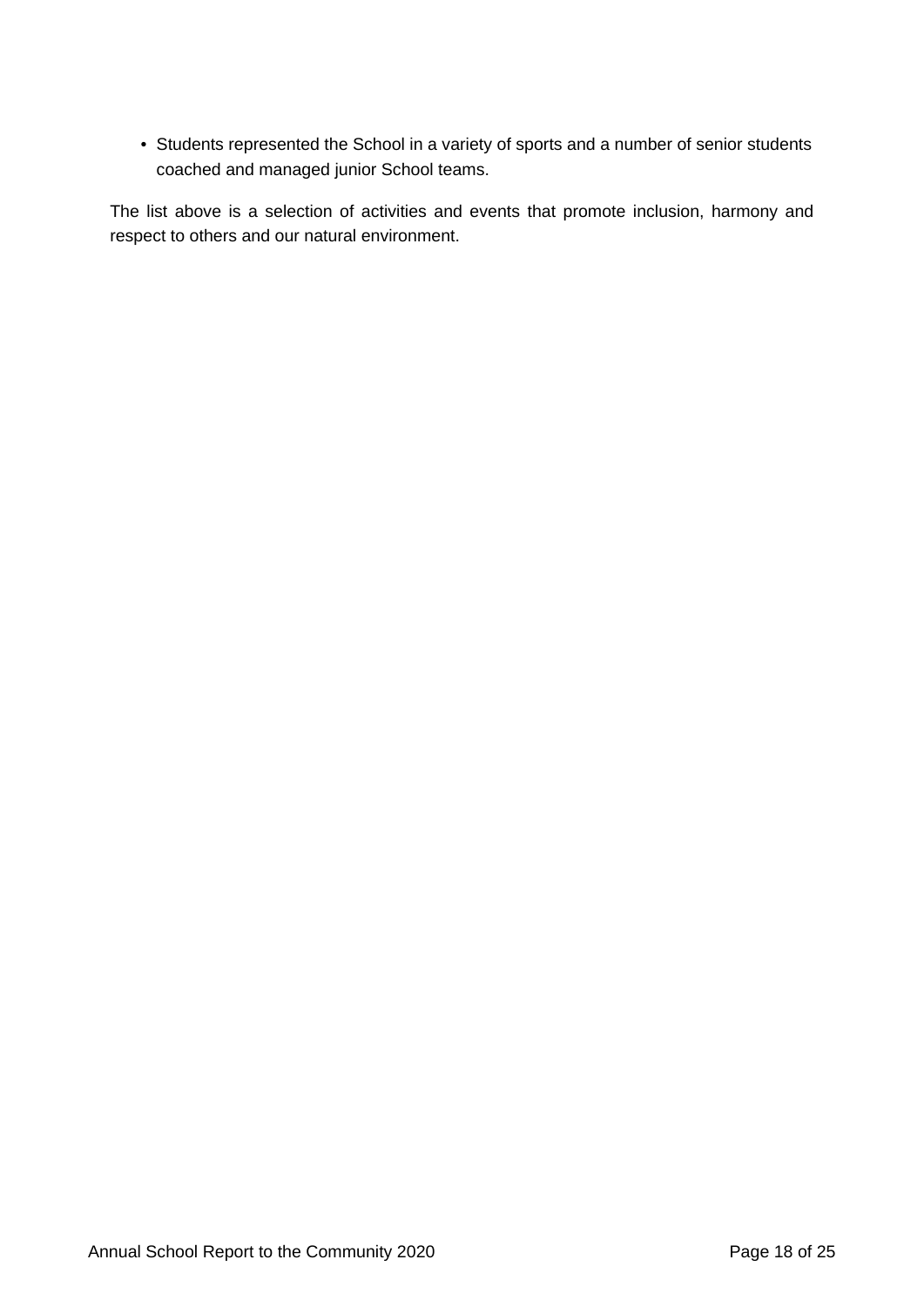• Students represented the School in a variety of sports and a number of senior students coached and managed junior School teams.

The list above is a selection of activities and events that promote inclusion, harmony and respect to others and our natural environment.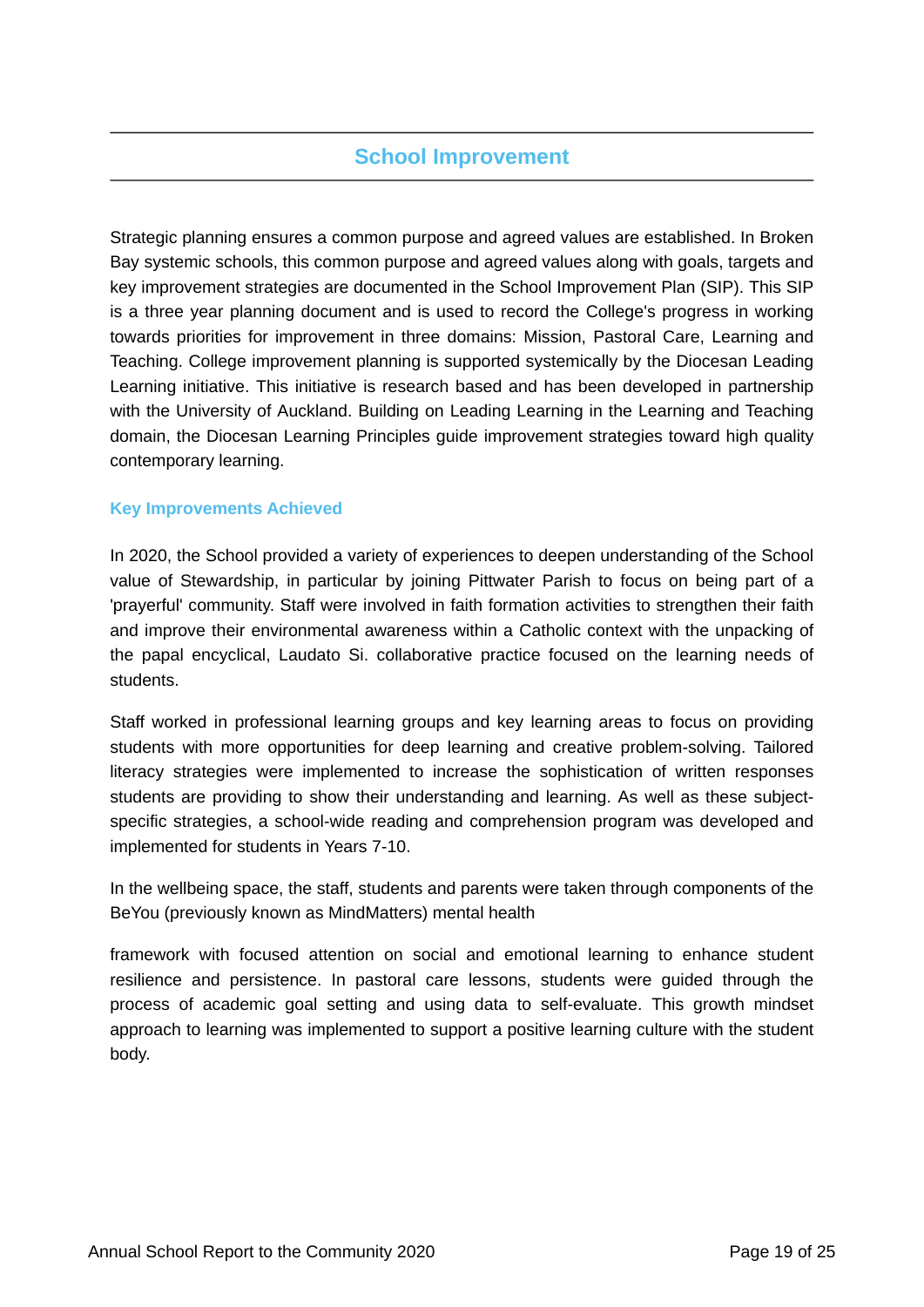## **School Improvement**

Strategic planning ensures a common purpose and agreed values are established. In Broken Bay systemic schools, this common purpose and agreed values along with goals, targets and key improvement strategies are documented in the School Improvement Plan (SIP). This SIP is a three year planning document and is used to record the College's progress in working towards priorities for improvement in three domains: Mission, Pastoral Care, Learning and Teaching. College improvement planning is supported systemically by the Diocesan Leading Learning initiative. This initiative is research based and has been developed in partnership with the University of Auckland. Building on Leading Learning in the Learning and Teaching domain, the Diocesan Learning Principles guide improvement strategies toward high quality contemporary learning.

## **Key Improvements Achieved**

In 2020, the School provided a variety of experiences to deepen understanding of the School value of Stewardship, in particular by joining Pittwater Parish to focus on being part of a 'prayerful' community. Staff were involved in faith formation activities to strengthen their faith and improve their environmental awareness within a Catholic context with the unpacking of the papal encyclical, Laudato Si. collaborative practice focused on the learning needs of students.

Staff worked in professional learning groups and key learning areas to focus on providing students with more opportunities for deep learning and creative problem-solving. Tailored literacy strategies were implemented to increase the sophistication of written responses students are providing to show their understanding and learning. As well as these subjectspecific strategies, a school-wide reading and comprehension program was developed and implemented for students in Years 7-10.

In the wellbeing space, the staff, students and parents were taken through components of the BeYou (previously known as MindMatters) mental health

framework with focused attention on social and emotional learning to enhance student resilience and persistence. In pastoral care lessons, students were guided through the process of academic goal setting and using data to self-evaluate. This growth mindset approach to learning was implemented to support a positive learning culture with the student body.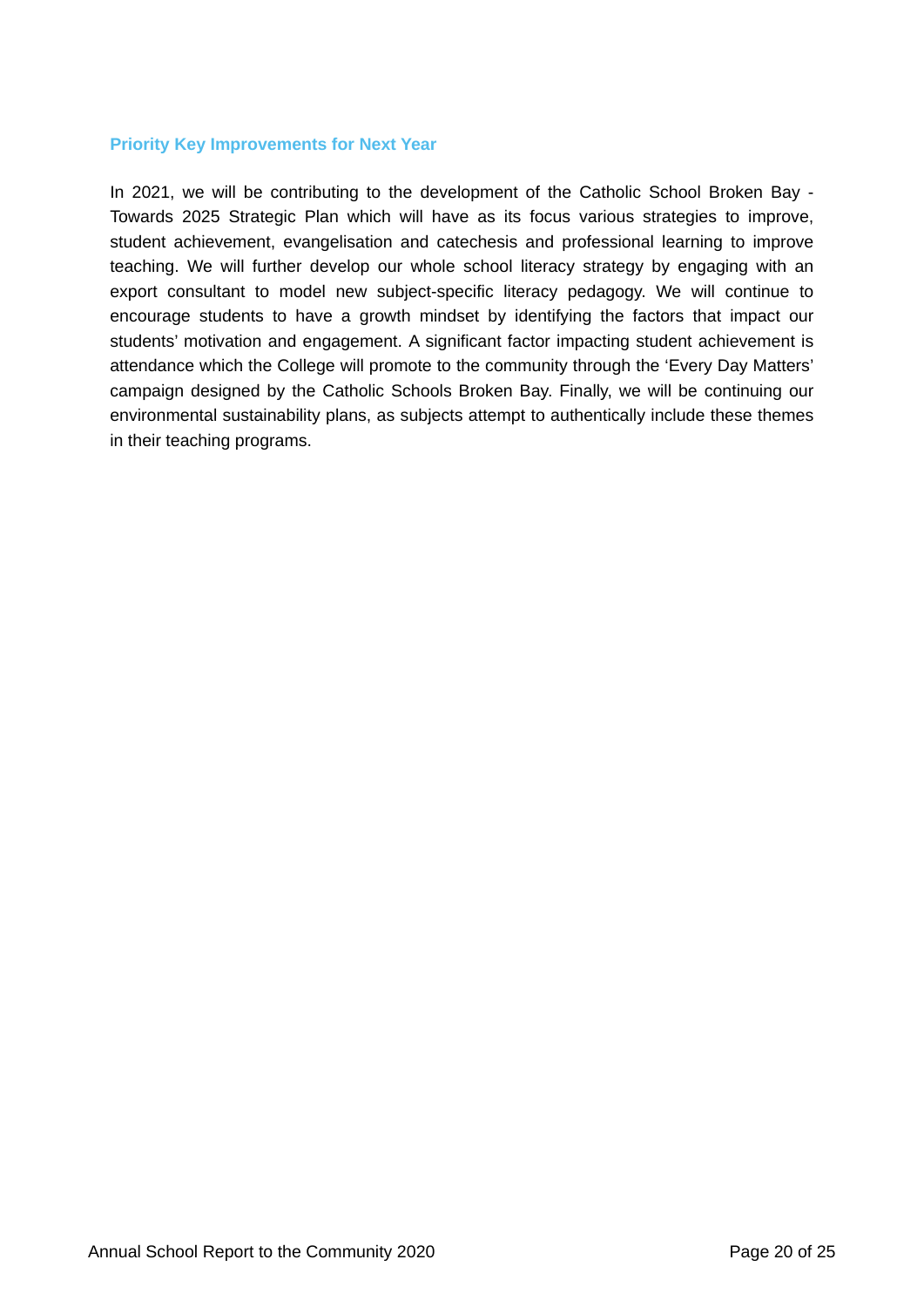#### **Priority Key Improvements for Next Year**

In 2021, we will be contributing to the development of the Catholic School Broken Bay - Towards 2025 Strategic Plan which will have as its focus various strategies to improve, student achievement, evangelisation and catechesis and professional learning to improve teaching. We will further develop our whole school literacy strategy by engaging with an export consultant to model new subject-specific literacy pedagogy. We will continue to encourage students to have a growth mindset by identifying the factors that impact our students' motivation and engagement. A significant factor impacting student achievement is attendance which the College will promote to the community through the 'Every Day Matters' campaign designed by the Catholic Schools Broken Bay. Finally, we will be continuing our environmental sustainability plans, as subjects attempt to authentically include these themes in their teaching programs.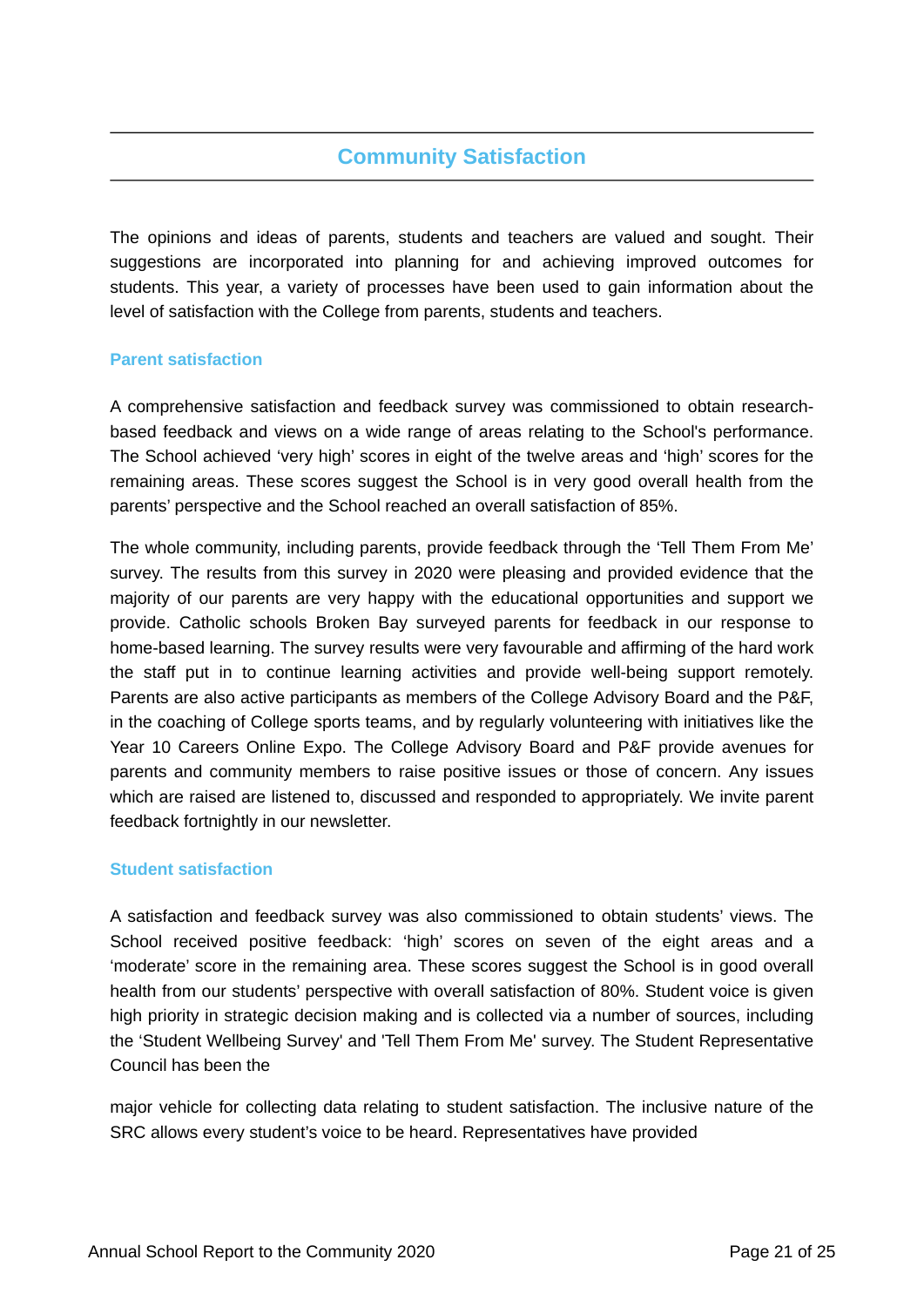# **Community Satisfaction**

The opinions and ideas of parents, students and teachers are valued and sought. Their suggestions are incorporated into planning for and achieving improved outcomes for students. This year, a variety of processes have been used to gain information about the level of satisfaction with the College from parents, students and teachers.

## **Parent satisfaction**

A comprehensive satisfaction and feedback survey was commissioned to obtain researchbased feedback and views on a wide range of areas relating to the School's performance. The School achieved 'very high' scores in eight of the twelve areas and 'high' scores for the remaining areas. These scores suggest the School is in very good overall health from the parents' perspective and the School reached an overall satisfaction of 85%.

The whole community, including parents, provide feedback through the 'Tell Them From Me' survey. The results from this survey in 2020 were pleasing and provided evidence that the majority of our parents are very happy with the educational opportunities and support we provide. Catholic schools Broken Bay surveyed parents for feedback in our response to home-based learning. The survey results were very favourable and affirming of the hard work the staff put in to continue learning activities and provide well-being support remotely. Parents are also active participants as members of the College Advisory Board and the P&F, in the coaching of College sports teams, and by regularly volunteering with initiatives like the Year 10 Careers Online Expo. The College Advisory Board and P&F provide avenues for parents and community members to raise positive issues or those of concern. Any issues which are raised are listened to, discussed and responded to appropriately. We invite parent feedback fortnightly in our newsletter.

## **Student satisfaction**

A satisfaction and feedback survey was also commissioned to obtain students' views. The School received positive feedback: 'high' scores on seven of the eight areas and a 'moderate' score in the remaining area. These scores suggest the School is in good overall health from our students' perspective with overall satisfaction of 80%. Student voice is given high priority in strategic decision making and is collected via a number of sources, including the 'Student Wellbeing Survey' and 'Tell Them From Me' survey. The Student Representative Council has been the

major vehicle for collecting data relating to student satisfaction. The inclusive nature of the SRC allows every student's voice to be heard. Representatives have provided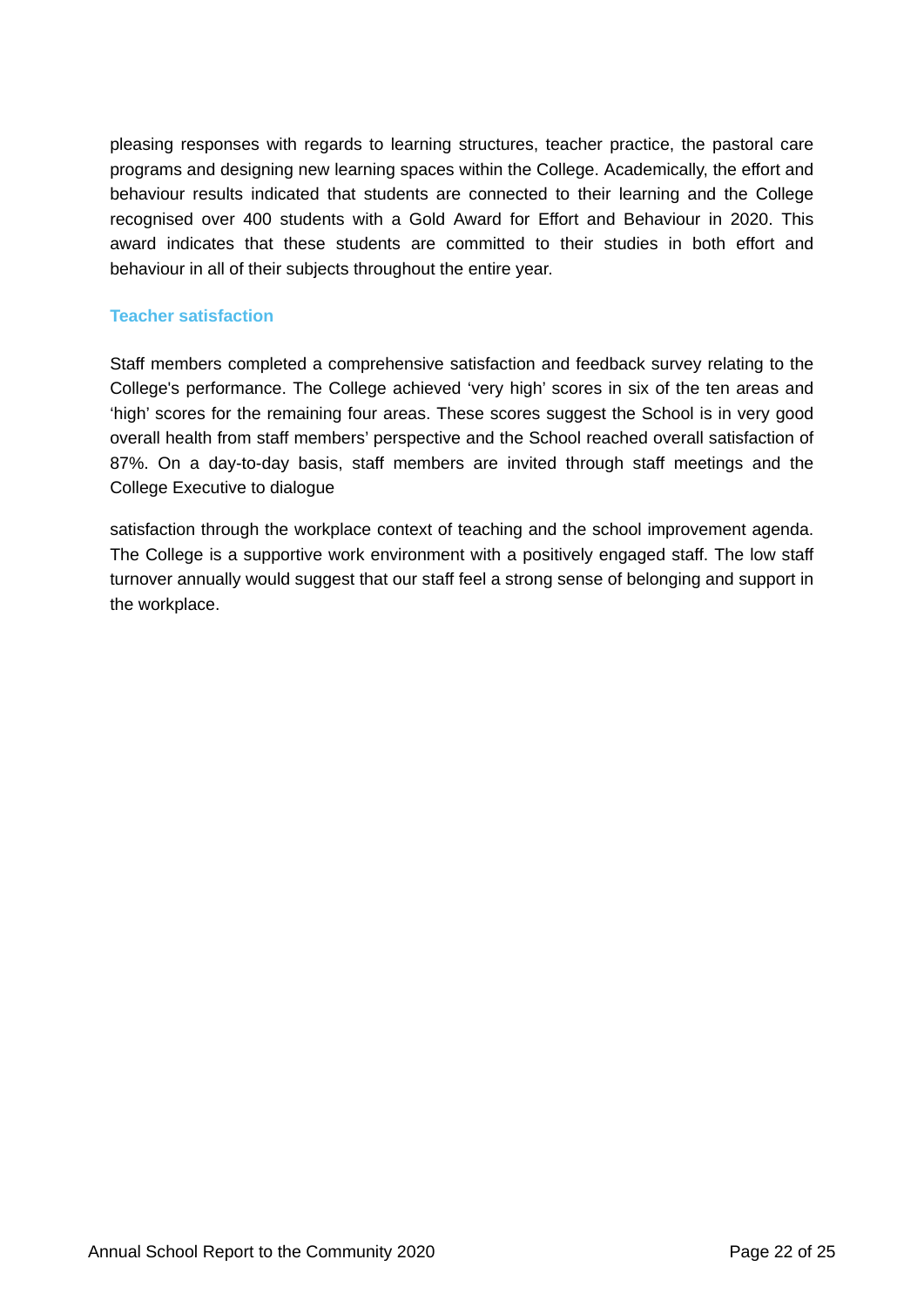pleasing responses with regards to learning structures, teacher practice, the pastoral care programs and designing new learning spaces within the College. Academically, the effort and behaviour results indicated that students are connected to their learning and the College recognised over 400 students with a Gold Award for Effort and Behaviour in 2020. This award indicates that these students are committed to their studies in both effort and behaviour in all of their subjects throughout the entire year.

## **Teacher satisfaction**

Staff members completed a comprehensive satisfaction and feedback survey relating to the College's performance. The College achieved 'very high' scores in six of the ten areas and 'high' scores for the remaining four areas. These scores suggest the School is in very good overall health from staff members' perspective and the School reached overall satisfaction of 87%. On a day-to-day basis, staff members are invited through staff meetings and the College Executive to dialogue

satisfaction through the workplace context of teaching and the school improvement agenda. The College is a supportive work environment with a positively engaged staff. The low staff turnover annually would suggest that our staff feel a strong sense of belonging and support in the workplace.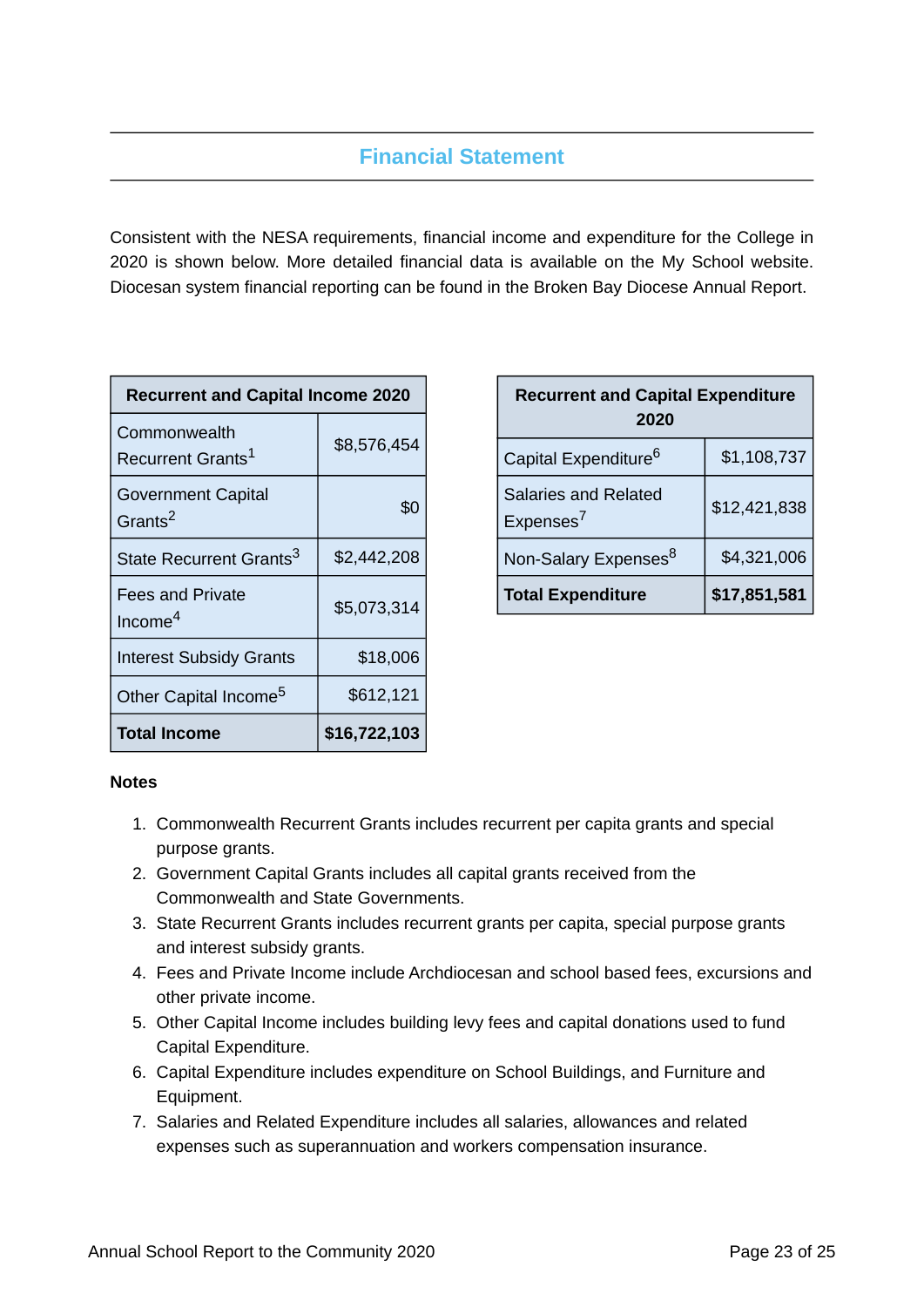# **Financial Statement**

Consistent with the NESA requirements, financial income and expenditure for the College in 2020 is shown below. More detailed financial data is available on the My School website. Diocesan system financial reporting can be found in the Broken Bay Diocese Annual Report.

| <b>Recurrent and Capital Income 2020</b>         |              |  |
|--------------------------------------------------|--------------|--|
| Commonwealth<br>Recurrent Grants <sup>1</sup>    | \$8,576,454  |  |
| <b>Government Capital</b><br>Grants <sup>2</sup> | \$0          |  |
| State Recurrent Grants <sup>3</sup>              | \$2,442,208  |  |
| <b>Fees and Private</b><br>Income $4$            | \$5,073,314  |  |
| <b>Interest Subsidy Grants</b>                   | \$18,006     |  |
| Other Capital Income <sup>5</sup>                | \$612,121    |  |
| <b>Total Income</b>                              | \$16,722,103 |  |

| <b>Recurrent and Capital Expenditure</b><br>2020    |              |  |
|-----------------------------------------------------|--------------|--|
| Capital Expenditure <sup>6</sup>                    | \$1,108,737  |  |
| <b>Salaries and Related</b><br>Express <sup>7</sup> | \$12,421,838 |  |
| Non-Salary Expenses <sup>8</sup>                    | \$4,321,006  |  |
| <b>Total Expenditure</b>                            | \$17,851,581 |  |

## **Notes**

- 1. Commonwealth Recurrent Grants includes recurrent per capita grants and special purpose grants.
- 2. Government Capital Grants includes all capital grants received from the Commonwealth and State Governments.
- 3. State Recurrent Grants includes recurrent grants per capita, special purpose grants and interest subsidy grants.
- 4. Fees and Private Income include Archdiocesan and school based fees, excursions and other private income.
- 5. Other Capital Income includes building levy fees and capital donations used to fund Capital Expenditure.
- 6. Capital Expenditure includes expenditure on School Buildings, and Furniture and Equipment.
- 7. Salaries and Related Expenditure includes all salaries, allowances and related expenses such as superannuation and workers compensation insurance.